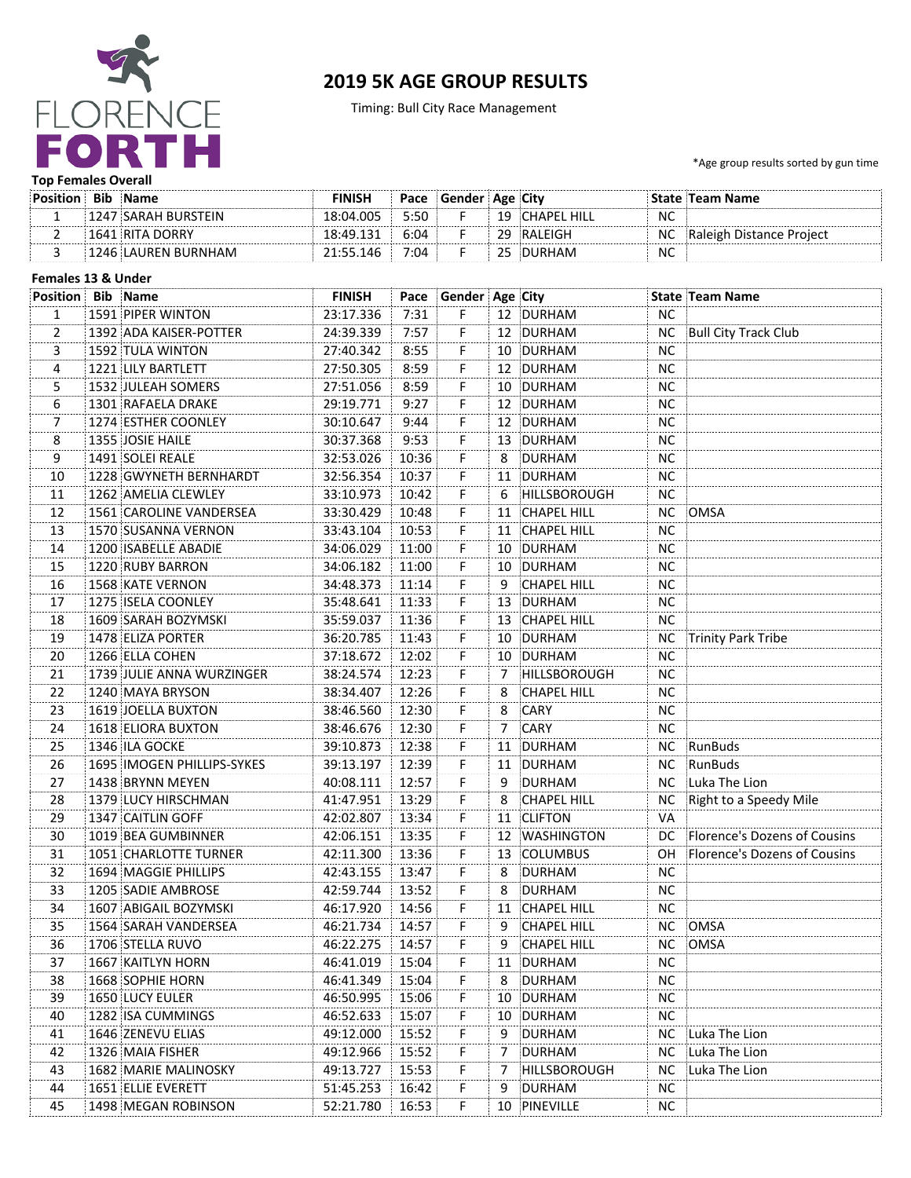

# **2019 5K AGE GROUP RESULTS**

Timing: Bull City Race Management

\*Age group results sorted by gun time

#### **Top Females Overall**

| <b>Bib</b> | <b>Name</b>         | FINISH    | Pace | <b>Gender</b> : | Age City    |           | e ∶Team Name       |
|------------|---------------------|-----------|------|-----------------|-------------|-----------|--------------------|
| 24 I       | 7 SARAH BURSTEIN    | 18:04.005 | 5:50 |                 | ™ HIL∟      | <b>NC</b> |                    |
|            | <b>RITA DORRY</b>   | 8∙4. Q    | 6:04 |                 | RALEIGH : " | ΝC        | າ Distance Proiect |
|            | '246 LAUREN BURNHAM | 146       | 7:04 |                 |             | <b>NC</b> |                    |

# Females 13 & Under

| <b>Position Bib Name</b> |                            | <b>FINISH</b> |       | Pace Gender Age City |    |                     |           | State Team Name                 |
|--------------------------|----------------------------|---------------|-------|----------------------|----|---------------------|-----------|---------------------------------|
| $\mathbf{1}$             | 1591 PIPER WINTON          | 23:17.336     | 7:31  | F.                   |    | 12 DURHAM           | <b>NC</b> |                                 |
| $\overline{2}$           | 1392 ADA KAISER-POTTER     | 24:39.339     | 7:57  | F.                   |    | 12 DURHAM           | <b>NC</b> | Bull City Track Club            |
| 3                        | 1592 TULA WINTON           | 27:40.342     | 8:55  | F.                   |    | 10 DURHAM           | <b>NC</b> |                                 |
| $\overline{4}$           | 1221 LILY BARTLETT         | 27:50.305     | 8:59  | F.                   |    | 12 DURHAM           | <b>NC</b> |                                 |
| 5                        | 1532 JULEAH SOMERS         | 27:51.056     | 8:59  | F.                   |    | 10 DURHAM           | <b>NC</b> |                                 |
| 6                        | 1301 RAFAELA DRAKE         | 29:19.771     | 9:27  | F.                   |    | 12 DURHAM           | <b>NC</b> |                                 |
| $\overline{7}$           | 1274 ESTHER COONLEY        | 30:10.647     | 9:44  | F.                   |    | 12 DURHAM           | <b>NC</b> |                                 |
| 8                        | 1355 JOSIE HAILE           | 30:37.368     | 9:53  | F.                   |    | 13 DURHAM           | <b>NC</b> |                                 |
| 9                        | 1491 SOLEI REALE           | 32:53.026     | 10:36 | F.                   | 8  | DURHAM              | <b>NC</b> |                                 |
| 10                       | 1228 GWYNETH BERNHARDT     | 32:56.354     | 10:37 | F.                   |    | 11 DURHAM           | NC.       |                                 |
| 11                       | 1262 AMELIA CLEWLEY        | 33:10.973     | 10:42 | F.                   | 6  | <b>HILLSBOROUGH</b> | NC.       |                                 |
| 12                       | 1561 CAROLINE VANDERSEA    | 33:30.429     | 10:48 | F.                   | 11 | CHAPEL HILL         | <b>NC</b> | OMSA                            |
| 13                       | 1570 SUSANNA VERNON        | 33:43.104     | 10:53 | F.                   |    | 11 CHAPEL HILL      | <b>NC</b> |                                 |
| 14                       | 1200 ISABELLE ABADIE       | 34:06.029     | 11:00 | F.                   |    | 10 DURHAM           | NC.       |                                 |
| 15                       | 1220 RUBY BARRON           | 34:06.182     | 11:00 | F.                   |    | 10 DURHAM           | NC.       |                                 |
| 16                       | 1568 KATE VERNON           | 34:48.373     | 11:14 | F.                   | 9  | <b>CHAPEL HILL</b>  | NC.       |                                 |
| 17                       | 1275 ISELA COONLEY         | 35:48.641     | 11:33 | F.                   |    | 13 DURHAM           | NC.       |                                 |
| 18                       | 1609 SARAH BOZYMSKI        | 35:59.037     | 11:36 | F.                   |    | 13 CHAPEL HILL      | NC.       |                                 |
| 19                       | 1478 ELIZA PORTER          | 36:20.785     | 11:43 | F.                   |    | 10 DURHAM           | NC.       | Trinity Park Tribe              |
| 20                       | 1266 ELLA COHEN            | 37:18.672     | 12:02 | F.                   |    | 10 DURHAM           | NC.       |                                 |
| 21                       | 1739 JULIE ANNA WURZINGER  | 38:24.574     | 12:23 | F.                   | 7  | <b>HILLSBOROUGH</b> | NC.       |                                 |
| 22                       | 1240 MAYA BRYSON           | 38:34.407     | 12:26 | F.                   | 8  | <b>CHAPEL HILL</b>  | NC.       |                                 |
| 23                       | 1619 JOELLA BUXTON         | 38:46.560     | 12:30 | F.                   | 8  | CARY                | <b>NC</b> |                                 |
| 24                       | 1618 ELIORA BUXTON         | 38:46.676     | 12:30 | F.                   | 7  | CARY                | <b>NC</b> |                                 |
| 25                       | 1346 ILA GOCKE             | 39:10.873     | 12:38 | F.                   |    | 11 DURHAM           |           | NC RunBuds                      |
| 26                       | 1695 IMOGEN PHILLIPS-SYKES | 39:13.197     | 12:39 | F.                   |    | 11 DURHAM           |           | NC RunBuds                      |
| 27                       | 1438 BRYNN MEYEN           | 40:08.111     | 12:57 | F.                   | 9  | DURHAM              |           | NC Luka The Lion                |
| 28                       | 1379 LUCY HIRSCHMAN        | 41:47.951     | 13:29 | F.                   | 8  | <b>CHAPEL HILL</b>  |           | NC Right to a Speedy Mile       |
| 29                       | 1347 CAITLIN GOFF          | 42:02.807     | 13:34 | F.                   |    | 11 CLIFTON          | VA        |                                 |
| 30                       | 1019 BEA GUMBINNER         | 42:06.151     | 13:35 | F.                   |    | 12 WASHINGTON       |           | DC Florence's Dozens of Cousins |
| 31                       | 1051 CHARLOTTE TURNER      | 42:11.300     | 13:36 | F.                   |    | 13 COLUMBUS         |           | OH Florence's Dozens of Cousins |
| 32                       | 1694 MAGGIE PHILLIPS       | 42:43.155     | 13:47 | F.                   | 8  | DURHAM              | <b>NC</b> |                                 |
| 33                       | 1205 SADIE AMBROSE         | 42:59.744     | 13:52 | F.                   | 8  | DURHAM              | <b>NC</b> |                                 |
| 34                       | 1607 ABIGAIL BOZYMSKI      | 46:17.920     | 14:56 | F.                   |    | 11 CHAPEL HILL      | <b>NC</b> |                                 |
| 35                       | 1564 SARAH VANDERSEA       | 46:21.734     | 14:57 | F.                   | 9  | CHAPEL HILL         |           | NC OMSA                         |
| 36                       | 1706 STELLA RUVO           | 46:22.275     | 14:57 | F                    | 9  | <b>CHAPEL HILL</b>  |           | NC OMSA                         |
| 37                       | 1667 KAITLYN HORN          | 46:41.019     | 15:04 | F.                   |    | 11 DURHAM           | NC.       |                                 |
| 38                       | 1668 SOPHIE HORN           | 46:41.349     | 15:04 | Ë                    | 8  | DURHAM              | ΝC        |                                 |
| 39                       | 1650 LUCY EULER            | 46:50.995     | 15:06 | F                    |    | 10 DURHAM           | ΝC        |                                 |
| 40                       | 1282 ISA CUMMINGS          | 46:52.633     | 15:07 | F                    |    | 10 DURHAM           | NC        |                                 |
| 41                       | 1646 ZENEVU ELIAS          | 49:12.000     | 15:52 | F.                   | 9  | DURHAM              | NC.       | Luka The Lion                   |
| 42                       | 1326 MAIA FISHER           | 49:12.966     | 15:52 | F.                   | 7  | DURHAM              | NC.       | Luka The Lion                   |
| 43                       | 1682 MARIE MALINOSKY       | 49:13.727     | 15:53 | F.                   | 7  | HILLSBOROUGH        | <b>NC</b> | Luka The Lion                   |
| 44                       | 1651 ELLIE EVERETT         | 51:45.253     | 16:42 | F.                   | 9  | DURHAM              | <b>NC</b> |                                 |
| 45                       | 1498 MEGAN ROBINSON        | 52:21.780     | 16:53 | F.                   |    | 10 PINEVILLE        | NC.       |                                 |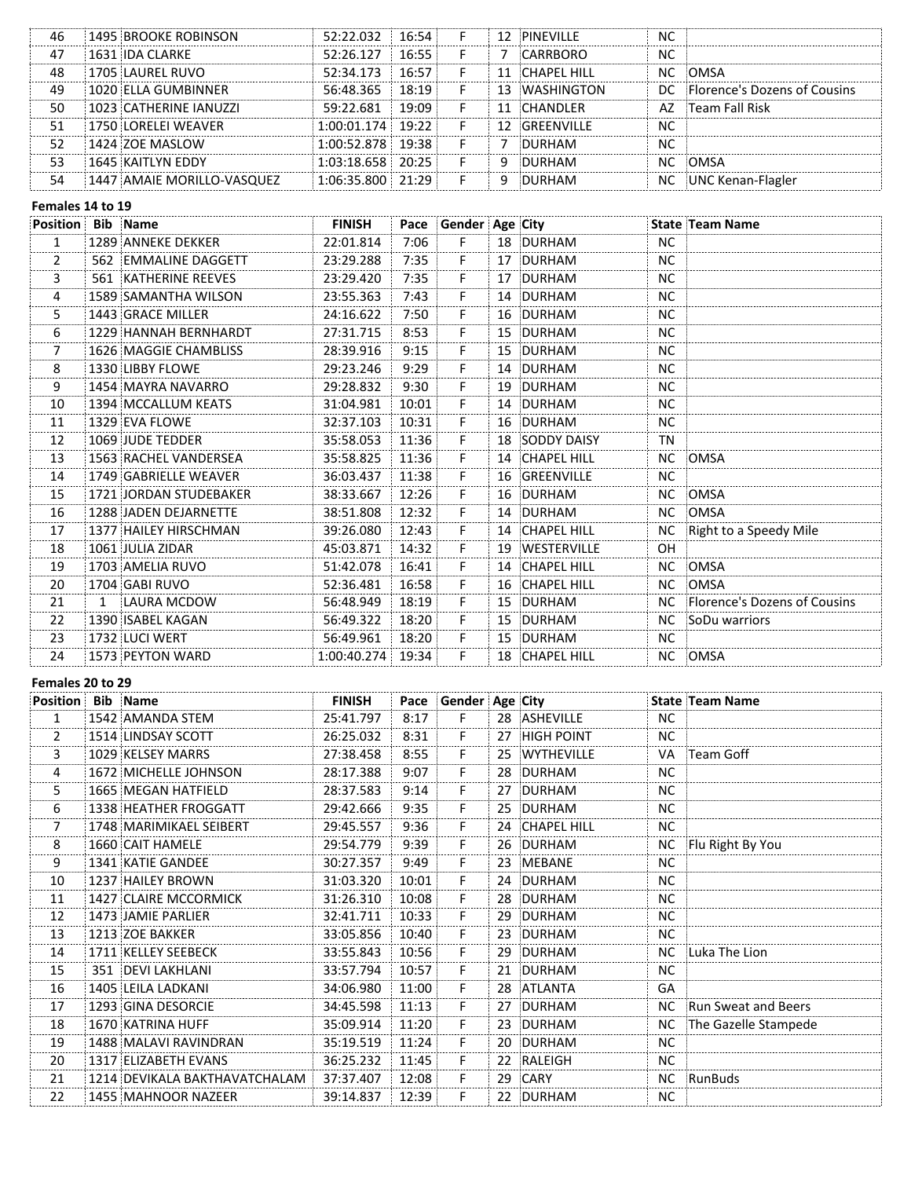| 46 | 1495 BROOKE ROBINSON       | 52:22.032             | 16.54  |  | 12 PINEVILLE   | ΝC        |                                 |
|----|----------------------------|-----------------------|--------|--|----------------|-----------|---------------------------------|
| 47 | 1631 IDA CLARKE            | 52:26.127             | 16:55  |  | CARRBORO       | NC        |                                 |
| 48 | 1705 LAUREL RUVO           | 52:34.173             | 16:57  |  | 11 CHAPEL HILL |           | NC OMSA                         |
| 49 | 1020 FILA GUMBINNER        | 56:48.365             | 18:19  |  | 13 WASHINGTON  |           | DC Florence's Dozens of Cousins |
| 50 | 1023 CATHERINE IANUZZI     | 59:22.681             | 19:09: |  | 11 CHANDLER    |           | AZ Fream Fall Risk              |
| 51 | 1750 LORELEI WEAVER        | $1:00:01.174$ 19:22   |        |  | 12 GREENVILLE  | NC        |                                 |
| 52 | 1424 ZOE MASLOW            | $1:00:52.878$ 19:38   |        |  | DURHAM         | <b>NC</b> |                                 |
| 53 | 1645 KAITLYN EDDY          | $1:03:18.658$   20:25 |        |  | DURHAM         |           | NC OMSA                         |
| 54 | 1447 AMAIE MORILLO-VASOUEZ | $1:06:35.800$ $21:29$ |        |  | DURHAM         |           | NC UNC Kenan-Flagler            |

# Females 14 to 19

| <b>Position Bib Name</b> |                             | <b>FINISH</b>     |       | Pace Gender Age City |                |           | <b>State Team Name</b>          |
|--------------------------|-----------------------------|-------------------|-------|----------------------|----------------|-----------|---------------------------------|
| $\mathbf{1}$             | 1289 ANNEKE DEKKER          | 22:01.814         | 7:06  | F.                   | 18 DURHAM      | NC.       |                                 |
| $\overline{2}$           | 562 EMMALINE DAGGETT        | 23:29.288         | 7:35  | F.                   | 17 DURHAM      | <b>NC</b> |                                 |
| 3                        | <b>561 KATHERINE REEVES</b> | 23:29.420         | 7:35  | F.                   | 17 DURHAM      | <b>NC</b> |                                 |
| 4                        | 1589 SAMANTHA WILSON        | 23:55.363         | 7:43  | F.                   | 14 DURHAM      | NC.       |                                 |
| 5                        | 1443 GRACE MILLER           | 24:16.622         | 7:50  | F.                   | 16 DURHAM      | NC.       |                                 |
| 6                        | 1229 HANNAH BERNHARDT       | 27:31.715         | 8:53  | F.                   | 15 DURHAM      | <b>NC</b> |                                 |
| $\overline{7}$           | 1626 MAGGIE CHAMBLISS       | 28:39.916         | 9:15  | F.                   | 15 DURHAM      | <b>NC</b> |                                 |
| 8                        | 1330 LIBBY FLOWE            | 29:23.246         | 9:29  | F.                   | 14 DURHAM      | <b>NC</b> |                                 |
| 9                        | 1454 MAYRA NAVARRO          | 29:28.832         | 9:30  | F.                   | 19 DURHAM      | NC.       |                                 |
| 10                       | 1394 MCCALLUM KEATS         | 31:04.981         | 10:01 | F.                   | 14 DURHAM      | <b>NC</b> |                                 |
| 11                       | 1329 EVA FLOWE              | 32:37.103         | 10:31 | F.                   | 16 DURHAM      | <b>NC</b> |                                 |
| 12                       | 1069 JUDE TEDDER            | 35:58.053         | 11:36 | F                    | 18 SODDY DAISY | TN        |                                 |
| 13                       | 1563 RACHEL VANDERSEA       | 35:58.825         | 11:36 | F.                   | 14 CHAPEL HILL |           | NC OMSA                         |
| 14                       | 1749 GABRIELLE WEAVER       | 36:03.437         | 11:38 | F.                   | 16 GREENVILLE  | <b>NC</b> |                                 |
| 15                       | 1721 JORDAN STUDEBAKER      | 38:33.667         | 12:26 | F.                   | 16 DURHAM      | NC.       | <b>OMSA</b>                     |
| 16                       | 1288 JADEN DEJARNETTE       | 38:51.808         | 12:32 | F.                   | 14 DURHAM      | <b>NC</b> | <b>OMSA</b>                     |
| 17                       | 1377 HAILEY HIRSCHMAN       | 39:26.080         | 12:43 | F                    | 14 CHAPEL HILL | NC.       | Right to a Speedy Mile          |
| 18                       | 1061 JULIA ZIDAR            | 45:03.871         | 14:32 | F.                   | 19 WESTERVILLE | OH        |                                 |
| 19                       | 1703 AMELIA RUVO            | 51:42.078         | 16:41 | F.                   | 14 CHAPEL HILL | NC .      | <b>OMSA</b>                     |
| 20                       | 1704 GABI RUVO              | 52:36.481         | 16:58 | F                    | 16 CHAPEL HILL |           | NC OMSA                         |
| 21                       | 1 LAURA MCDOW               | 56:48.949         | 18:19 | F                    | 15 DURHAM      |           | NC Florence's Dozens of Cousins |
| 22                       | 1390 ISABEL KAGAN           | 56:49.322         | 18:20 | F                    | 15 DURHAM      |           | NC SoDu warriors                |
| 23                       | 1732 LUCI WERT              | 56:49.961         | 18:20 | F.                   | 15 DURHAM      | <b>NC</b> |                                 |
| 24                       | 1573 PEYTON WARD            | 1:00:40.274 19:34 |       | F.                   | 18 CHAPEL HILL |           | NC OMSA                         |

#### Females 20 to 29

| <b>Position Bib Name</b> |                               | <b>FINISH</b> |       | Pace Gender Age City |                |           | State Team Name      |
|--------------------------|-------------------------------|---------------|-------|----------------------|----------------|-----------|----------------------|
| $\mathbf{1}$             | 1542 AMANDA STEM              | 25:41.797     | 8:17  | F                    | 28 ASHEVILLE   | NC.       |                      |
| $\overline{2}$           | 1514 LINDSAY SCOTT            | 26:25.032     | 8:31  | F.                   | 27 HIGH POINT  | <b>NC</b> |                      |
| 3                        | 1029 KELSEY MARRS             | 27:38.458     | 8:55  | F.                   | 25 WYTHEVILLE  | VA        | Team Goff            |
| 4                        | 1672 MICHELLE JOHNSON         | 28:17.388     | 9:07  | F.                   | 28 DURHAM      | <b>NC</b> |                      |
| 5                        | 1665 MEGAN HATFIELD           | 28:37.583     | 9:14  | F.                   | 27 DURHAM      | <b>NC</b> |                      |
| 6                        | 1338 HEATHER FROGGATT         | 29:42.666     | 9:35  | F.                   | 25 DURHAM      | <b>NC</b> |                      |
| 7                        | 1748 MARIMIKAEL SEIBERT       | 29:45.557     | 9:36  | F.                   | 24 CHAPEL HILL | NC.       |                      |
| 8                        | 1660 CAIT HAMELE              | 29:54.779     | 9:39  | F.                   | 26 DURHAM      |           | NC Flu Right By You  |
| 9                        | 1341 KATIE GANDEE             | 30:27.357     | 9:49  | F                    | 23 MEBANE      | <b>NC</b> |                      |
| 10                       | 1237 HAILEY BROWN             | 31:03.320     | 10:01 | F.                   | 24 DURHAM      | NC.       |                      |
| 11                       | 1427 CLAIRE MCCORMICK         | 31:26.310     | 10:08 | F.                   | 28 DURHAM      | NC.       |                      |
| 12                       | 1473 JAMIE PARLIER            | 32:41.711     | 10:33 | F.                   | 29 DURHAM      | NC.       |                      |
| 13                       | 1213 ZOE BAKKER               | 33:05.856     | 10:40 | F.                   | 23 DURHAM      | <b>NC</b> |                      |
| 14                       | 1711 KELLEY SEEBECK           | 33:55.843     | 10:56 | F.                   | 29 DURHAM      | NC.       | Luka The Lion        |
| 15                       | 351 DEVI LAKHLANI             | 33:57.794     | 10:57 | F.                   | 21 DURHAM      | <b>NC</b> |                      |
| 16                       | 1405 LEILA LADKANI            | 34:06.980     | 11:00 | F.                   | 28 ATLANTA     | GA        |                      |
| 17                       | 1293 GINA DESORCIE            | 34:45.598     | 11:13 | F                    | 27 DURHAM      | <b>NC</b> | Run Sweat and Beers  |
| 18                       | 1670 KATRINA HUFF             | 35:09.914     | 11:20 | F                    | 23 DURHAM      | NC.       | The Gazelle Stampede |
| 19                       | 1488 MALAVI RAVINDRAN         | 35:19.519     | 11:24 | F                    | 20 DURHAM      | <b>NC</b> |                      |
| 20                       | 1317 ELIZABETH EVANS          | 36:25.232     | 11:45 | F.                   | 22 RALEIGH     | <b>NC</b> |                      |
| 21                       | 1214 DEVIKALA BAKTHAVATCHALAM | 37:37.407     | 12:08 | F                    | 29 CARY        | NC.       | RunBuds              |
| 22                       | 1455 MAHNOOR NAZEER           | 39:14.837     | 12:39 | F                    | 22 DURHAM      | NC.       |                      |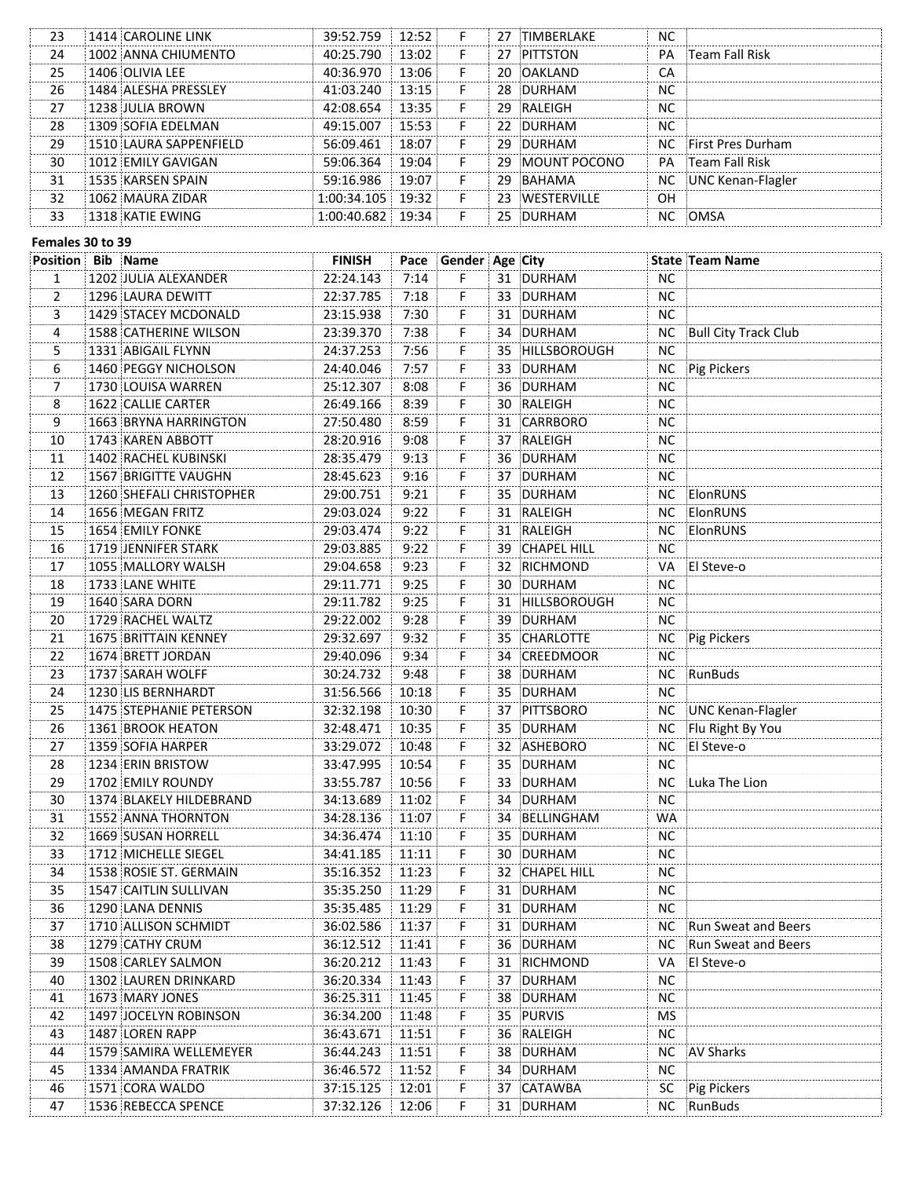| 23 | 1414 CAROLINE LINK     | 39:52.759         | 12:52: |    | 27 TIMBERLAKE   | ΝC        |                          |
|----|------------------------|-------------------|--------|----|-----------------|-----------|--------------------------|
| 24 | 1002 ANNA CHIUMENTO    | 40:25.790         | 13:02: |    | 27 PITTSTON     | PA        | :Team Fall Risk          |
| 25 | 1406 OLIVIA LEF        | 40:36.970         | 13:06: |    | 20 OAKLAND      | CА        |                          |
| 26 | 1484 ALESHA PRESSLEY   | 41:03.240         | 13:15: |    | 28 DURHAM       | ΝC        |                          |
| 27 | 1238 IUI IA BROWN      | 42:08.654         | 13:35  |    | 29 RAI FIGH     | ΝC        |                          |
| 28 | 1309 SOFIA FDFI MAN    | 49:15.007         | 15:53: | F  | 22 DURHAM       | <b>NC</b> |                          |
| 29 | 1510 LAURA SAPPENFIELD | 56:09.461         | 18:07  | F  | 29 DURHAM       |           | NC First Pres Durham     |
| 30 | 1012 EMILY GAVIGAN     | 59:06.364         | 19:04  |    | 29 MOUNT POCONO |           | <b>PA</b> Team Fall Risk |
| 31 | 1535 KARSEN SPAIN      | 59:16.986         | 19:07  | F  | 29 BAHAMA       |           | NC UNC Kenan-Flagler     |
| 32 | 1062 MAURA ZIDAR       | 1:00:34.105 19:32 |        | F. | 23 IWESTERVILLE | OН        |                          |
| 33 | 1318 KATIF FWING       | $:00:40.682$ :    | 19.34  |    | 25 DURHAM       | NC.       | :OMSA                    |
|    |                        |                   |        |    |                 |           |                          |

#### Females 30 to 39

| <b>Position Bib Name</b> |                          | <b>FINISH</b> |       | Pace Gender Age City |    |                 |           | State Team Name      |
|--------------------------|--------------------------|---------------|-------|----------------------|----|-----------------|-----------|----------------------|
| 1                        | 1202 JULIA ALEXANDER     | 22:24.143     | 7:14  | F.                   |    | 31 DURHAM       | NC.       |                      |
| 2                        | 1296 LAURA DEWITT        | 22:37.785     | 7:18  | F.                   |    | 33 DURHAM       | <b>NC</b> |                      |
| 3                        | 1429 STACEY MCDONALD     | 23:15.938     | 7:30  | F.                   |    | 31 DURHAM       | <b>NC</b> |                      |
| 4                        | 1588 CATHERINE WILSON    | 23:39.370     | 7:38  | F.                   |    | 34 DURHAM       | <b>NC</b> | Bull City Track Club |
| 5                        | 1331 ABIGAIL FLYNN       | 24:37.253     | 7:56  | F.                   |    | 35 HILLSBOROUGH | <b>NC</b> |                      |
| 6                        | 1460 PEGGY NICHOLSON     | 24:40.046     | 7:57  | F.                   |    | 33 DURHAM       | NC.       | Pig Pickers          |
| 7                        | 1730 LOUISA WARREN       | 25:12.307     | 8:08  | F.                   |    | 36 DURHAM       | NC.       |                      |
| <br>8                    | 1622 CALLIE CARTER       | 26:49.166     | 8:39  | F.                   |    | 30 RALEIGH      | <b>NC</b> |                      |
| 9                        | 1663 BRYNA HARRINGTON    | 27:50.480     | 8:59  | F.                   |    | 31 CARRBORO     | NC.       |                      |
| 10                       | 1743 KAREN ABBOTT        | 28:20.916     | 9:08  | F.                   |    | 37 RALEIGH      | NC.       |                      |
| 11                       | 1402 RACHEL KUBINSKI     | 28:35.479     | 9:13  | F.                   |    | 36 DURHAM       | NС        |                      |
| 12                       | 1567 BRIGITTE VAUGHN     | 28:45.623     | 9:16  | F.                   |    | 37 DURHAM       | NС        |                      |
| 13                       | 1260 SHEFALI CHRISTOPHER | 29:00.751     | 9:21  | F.                   |    | 35 DURHAM       | NC.       | ElonRUNS             |
| 14                       | 1656 MEGAN FRITZ         | 29:03.024     | 9:22  | F.                   |    | 31 RALEIGH      | NC.       | ElonRUNS             |
| 15                       | 1654 EMILY FONKE         | 29:03.474     | 9:22  | F.                   |    | 31 RALEIGH      | NC.       | ElonRUNS             |
| 16                       | 1719 JENNIFER STARK      | 29:03.885     | 9:22  | F.                   |    | 39 CHAPEL HILL  | NС        |                      |
| 17                       | 1055 MALLORY WALSH       | 29:04.658     | 9:23  | F.                   |    | 32 RICHMOND     | VA.       | <b>El Steve-o</b>    |
| 18                       | 1733 LANE WHITE          | 29:11.771     | 9:25  | F.                   |    | 30 DURHAM       | NС        |                      |
| 19                       | 1640 SARA DORN           | 29:11.782     | 9:25  | F.                   |    | 31 HILLSBOROUGH | NС        |                      |
| 20                       | 1729 RACHEL WALTZ        | 29:22.002     | 9:28  | F.                   |    | 39 DURHAM       | NC.       |                      |
| 21                       | 1675 BRITTAIN KENNEY     | 29:32.697     | 9:32  | F.                   |    | 35 CHARLOTTE    | NC        | Pig Pickers          |
| 22                       | 1674 BRETT JORDAN        | 29:40.096     | 9:34  | F.                   |    | 34 CREEDMOOR    | NC.       |                      |
| 23                       | 1737 SARAH WOLFF         | 30:24.732     | 9:48  | F.                   |    | 38 DURHAM       | NC        | RunBuds              |
| 24                       | 1230 LIS BERNHARDT       | 31:56.566     | 10:18 | F.                   |    | 35 DURHAM       | <b>NC</b> |                      |
| 25                       | 1475 STEPHANIE PETERSON  | 32:32.198     | 10:30 | F.                   |    | 37 PITTSBORO    | NC.       | UNC Kenan-Flagler    |
| 26                       | 1361 BROOK HEATON        | 32:48.471     | 10:35 | F.                   |    | 35 DURHAM       | NС        | Flu Right By You     |
| 27                       | 1359 SOFIA HARPER        | 33:29.072     | 10:48 | F.                   |    | 32 ASHEBORO     | NC        | El Steve-o           |
| 28                       | 1234 ERIN BRISTOW        | 33:47.995     | 10:54 | F.                   |    | 35 DURHAM       | <b>NC</b> |                      |
| 29                       | 1702 EMILY ROUNDY        | 33:55.787     | 10:56 | F.                   |    | 33 DURHAM       |           | NC Luka The Lion     |
| 30                       | 1374 BLAKELY HILDEBRAND  | 34:13.689     | 11:02 | F.                   |    | 34 DURHAM       | <b>NC</b> |                      |
| 31                       | 1552 ANNA THORNTON       | 34:28.136     | 11:07 | F.                   |    | 34 BELLINGHAM   | <b>WA</b> |                      |
| 32                       | 1669 SUSAN HORRELL       | 34:36.474     | 11:10 | F.                   |    | 35 DURHAM       | <b>NC</b> |                      |
| 33                       | 1712 MICHELLE SIEGEL     | 34:41.185     | 11:11 | F.                   |    | 30 DURHAM       | <b>NC</b> |                      |
| 34                       | 1538 ROSIE ST. GERMAIN   | 35:16.352     | 11:23 | F.                   |    | 32 CHAPEL HILL  | <b>NC</b> |                      |
| 35                       | 1547 CAITLIN SULLIVAN    | 35:35.250     | 11:29 | F.                   |    | 31 DURHAM       | <b>NC</b> |                      |
| 36                       | 1290 LANA DENNIS         | 35:35.485     | 11:29 | F.                   |    | 31 DURHAM       | <b>NC</b> |                      |
| 37                       | 1710 ALLISON SCHMIDT     | 36:02.586     | 11:37 | F                    |    | 31 DURHAM       | NC.       | Run Sweat and Beers  |
| 38                       | 1279 CATHY CRUM          | 36:12.512     | 11:41 | F                    |    | 36 DURHAM       | NС        | Run Sweat and Beers  |
| 39                       | 1508 CARLEY SALMON       | 36:20.212     | 11:43 | F                    |    | 31 RICHMOND     | VA        | El Steve-o           |
| 40                       | 1302 LAUREN DRINKARD     | 36:20.334     | 11:43 | F                    |    | 37 DURHAM       | <b>NC</b> |                      |
| 41                       | 1673 MARY JONES          | 36:25.311     | 11:45 | F                    |    | 38 DURHAM       | <b>NC</b> |                      |
| 42                       | 1497 JOCELYN ROBINSON    | 36:34.200     | 11:48 | F                    |    | 35 PURVIS       | MS        |                      |
|                          |                          |               |       | F                    |    |                 |           |                      |
| 43                       | 1487 LOREN RAPP          | 36:43.671     | 11:51 |                      |    | 36 RALEIGH      | <b>NC</b> |                      |
| 44                       | 1579 SAMIRA WELLEMEYER   | 36:44.243     | 11:51 | F                    | 38 | DURHAM          | <b>NC</b> | <b>AV Sharks</b>     |
| 45                       | 1334 AMANDA FRATRIK      | 36:46.572     | 11:52 | F                    |    | 34 DURHAM       | <b>NC</b> |                      |
| 46                       | 1571 CORA WALDO          | 37:15.125     | 12:01 | F                    |    | 37 CATAWBA      | <b>SC</b> | Pig Pickers          |
| 47                       | 1536 REBECCA SPENCE      | 37:32.126     | 12:06 | F                    |    | 31 DURHAM       | NC        | RunBuds              |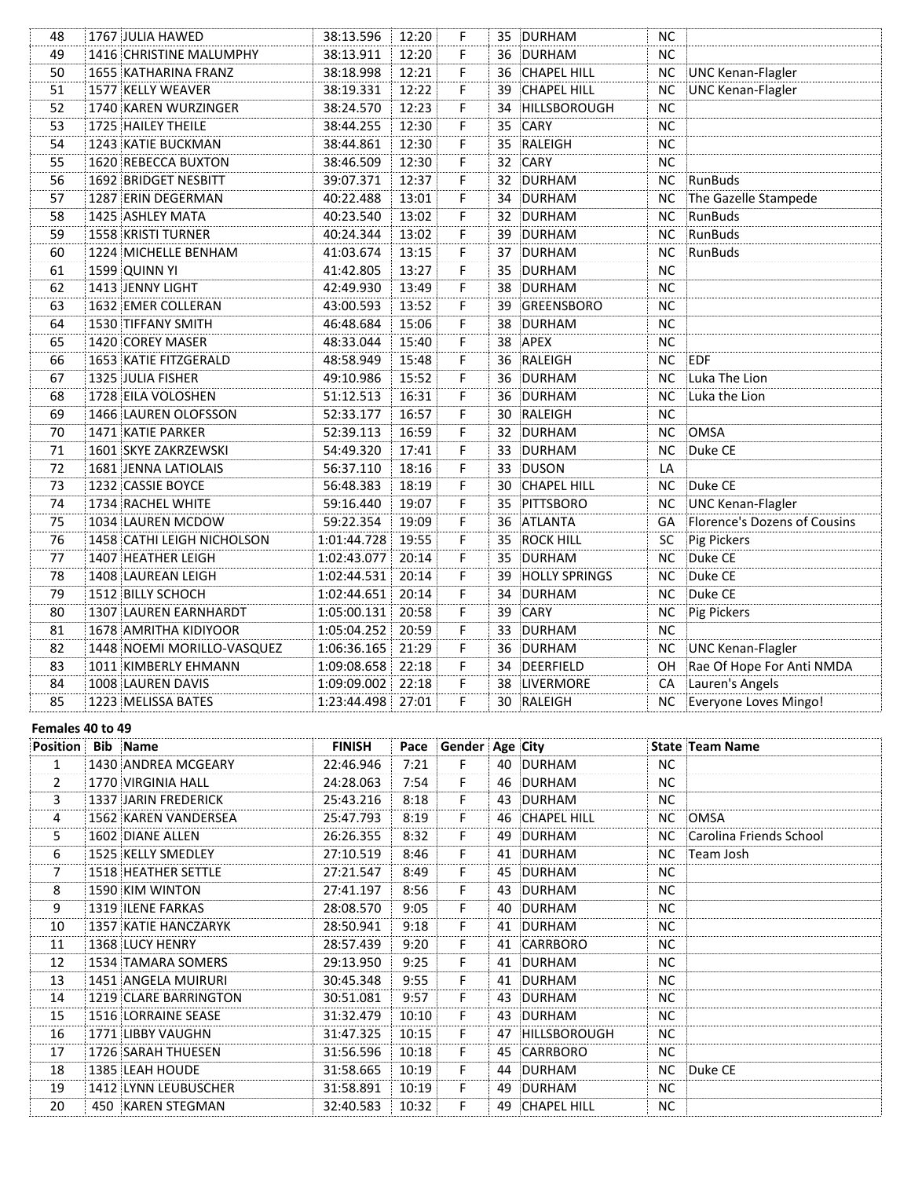| 48 | 1767 JULIA HAWED            | 38:13.596         | 12:20 | F                    |    | 35 DURHAM          | <b>NC</b> |                              |
|----|-----------------------------|-------------------|-------|----------------------|----|--------------------|-----------|------------------------------|
| 49 | 1416 CHRISTINE MALUMPHY     | 38:13.911         | 12:20 | F                    |    | 36 DURHAM          | <b>NC</b> |                              |
| 50 | 1655 KATHARINA FRANZ        | 38:18.998         | 12:21 | F                    |    | 36 CHAPEL HILL     | NC        | UNC Kenan-Flagler            |
| 51 | 1577 KELLY WEAVER           | 38:19.331         | 12:22 | F                    |    | 39 CHAPEL HILL     | <b>NC</b> | UNC Kenan-Flagler            |
| 52 | 1740 KAREN WURZINGER        | 38:24.570         | 12:23 | F                    | 34 | HILLSBOROUGH       | <b>NC</b> |                              |
| 53 | 1725 HAILEY THEILE          | 38:44.255         | 12:30 | F                    | 35 | CARY               | <b>NC</b> |                              |
| 54 | 1243 KATIE BUCKMAN          | 38:44.861         | 12:30 | F                    |    | 35 RALEIGH         | <b>NC</b> |                              |
| 55 | 1620 REBECCA BUXTON         | 38:46.509         | 12:30 | $\dddot{\mathsf{F}}$ | 32 | CARY               | <b>NC</b> |                              |
| 56 | <b>1692 BRIDGET NESBITT</b> | 39:07.371         | 12:37 | F                    |    | 32 DURHAM          | <b>NC</b> | RunBuds                      |
| 57 | 1287 ERIN DEGERMAN          | 40:22.488         | 13:01 | F.                   | 34 | DURHAM             | <b>NC</b> | The Gazelle Stampede         |
| 58 | 1425 ASHLEY MATA            | 40:23.540         | 13:02 | F                    |    | 32 DURHAM          | <b>NC</b> | RunBuds                      |
| 59 | 1558 KRISTI TURNER          | 40:24.344         | 13:02 | F.                   |    | 39 DURHAM          | <b>NC</b> | RunBuds                      |
| 60 | 1224 MICHELLE BENHAM        | 41:03.674         | 13:15 | F                    |    | 37 DURHAM          | <b>NC</b> | RunBuds                      |
| 61 | 1599 QUINN YI               | 41:42.805         | 13:27 | F.                   |    | 35 DURHAM          | <b>NC</b> |                              |
| 62 | 1413 JENNY LIGHT            | 42:49.930         | 13:49 | F                    |    | 38 DURHAM          | <b>NC</b> |                              |
| 63 | 1632 EMER COLLERAN          | 43:00.593         | 13:52 | F                    |    | 39 GREENSBORO      | <b>NC</b> |                              |
| 64 | 1530 TIFFANY SMITH          | 46:48.684         | 15:06 | F                    |    | 38 DURHAM          | <b>NC</b> |                              |
| 65 | 1420 COREY MASER            | 48:33.044         | 15:40 | F                    |    | 38 APEX            | <b>NC</b> |                              |
| 66 | 1653 KATIE FITZGERALD       | 48:58.949         | 15:48 | F.                   |    | 36 RALEIGH         | <b>NC</b> | EDF                          |
| 67 | 1325 JULIA FISHER           | 49:10.986         | 15:52 | F.                   |    | 36 DURHAM          | NС        | Luka The Lion                |
| 68 | 1728 EILA VOLOSHEN          | 51:12.513         | 16:31 | F.                   |    | 36 DURHAM          | <b>NC</b> | Luka the Lion                |
| 69 | 1466 LAUREN OLOFSSON        | 52:33.177         | 16:57 | F.                   |    | 30 RALEIGH         | <b>NC</b> |                              |
| 70 | 1471 KATIE PARKER           | 52:39.113         | 16:59 | F                    |    | 32 DURHAM          | <b>NC</b> | OMSA                         |
| 71 | 1601 SKYE ZAKRZEWSKI        | 54:49.320         | 17:41 | F                    |    | 33 DURHAM          | <b>NC</b> | Duke CE                      |
| 72 | 1681 JENNA LATIOLAIS        | 56:37.110         | 18:16 | F                    |    | 33 DUSON           | LA        |                              |
| 73 | 1232 CASSIE BOYCE           | 56:48.383         | 18:19 | F                    | 30 | <b>CHAPEL HILL</b> | ΝC        | Duke CE                      |
| 74 | 1734 RACHEL WHITE           | 59:16.440         | 19:07 | F                    |    | 35 PITTSBORO       | <b>NC</b> | UNC Kenan-Flagler            |
| 75 | 1034 LAUREN MCDOW           | 59:22.354         | 19:09 | F                    |    | 36 ATLANTA         | GA        | Florence's Dozens of Cousins |
| 76 | 1458 CATHI LEIGH NICHOLSON  | 1:01:44.728       | 19:55 | F                    |    | 35 ROCK HILL       | SC        | Pig Pickers                  |
| 77 | 1407 HEATHER LEIGH          | 1:02:43.077       | 20:14 | F.                   | 35 | DURHAM             | NC.       | Duke CE                      |
| 78 | 1408 LAUREAN LEIGH          | 1:02:44.531       | 20:14 | F.                   |    | 39 HOLLY SPRINGS   | <b>NC</b> | Duke CE                      |
| 79 | 1512 BILLY SCHOCH           | 1:02:44.651       | 20:14 | F.                   |    | 34 DURHAM          | NC.       | Duke CE                      |
| 80 | 1307 LAUREN EARNHARDT       | 1:05:00.131       | 20:58 | F                    |    | 39 CARY            | NC.       | Pig Pickers                  |
| 81 | 1678 AMRITHA KIDIYOOR       | 1:05:04.252       | 20:59 | F.                   |    | 33 DURHAM          | <b>NC</b> |                              |
| 82 | 1448 NOEMI MORILLO-VASQUEZ  | 1:06:36.165       | 21:29 | F                    |    | 36 DURHAM          | <b>NC</b> | UNC Kenan-Flagler            |
| 83 | 1011 KIMBERLY EHMANN        | 1:09:08.658       | 22:18 | F                    |    | 34 DEERFIELD       | OH.       | Rae Of Hope For Anti NMDA    |
| 84 | 1008 LAUREN DAVIS           | 1:09:09.002       | 22:18 | F                    |    | 38 LIVERMORE       | CA        | Lauren's Angels              |
| 85 | 1223 MELISSA BATES          | 1:23:44.498 27:01 |       | F                    |    | 30 RALEIGH         | NC .      | Everyone Loves Mingo!        |

# Females 40 to 49

| <b>Position</b> | Bib Name              | <b>FINISH</b> |        | Pace Gender Age City |                 |           | <b>State Team Name</b>     |
|-----------------|-----------------------|---------------|--------|----------------------|-----------------|-----------|----------------------------|
| 1               | 1430 ANDREA MCGEARY   | 22:46.946     | 7:21   | F                    | 40 DURHAM       | NC.       |                            |
| $\overline{2}$  | 1770 VIRGINIA HALL    | 24:28.063     | 7:54   | F.                   | 46 DURHAM       | <b>NC</b> |                            |
| 3               | 1337 JARIN FREDERICK  | 25:43.216     | 8:18   | F                    | 43 DURHAM       | NC.       |                            |
| 4               | 1562 KAREN VANDERSEA  | 25:47.793     | 8:19   | F.                   | 46 CHAPEL HILL  | NC .      | :OMSA                      |
| 5               | 1602 DIANE ALLEN      | 26:26.355     | 8:32   | F                    | 49 DURHAM       |           | NC Carolina Friends School |
| 6               | 1525 KELLY SMEDLEY    | 27:10.519     | 8:46   | F.                   | 41 DURHAM       |           | NC :Team Josh              |
| 7               | 1518 HEATHER SETTLE   | 27:21.547     | 8:49   | F.                   | 45 DURHAM       | NC.       |                            |
| 8               | 1590 KIM WINTON       | 27:41.197     | 8:56   | F.                   | 43 DURHAM       | NC.       |                            |
| 9               | 1319 ILENE FARKAS     | 28:08.570     | 9:05   | F.                   | 40 DURHAM       | NC.       |                            |
| 10              | 1357 KATIE HANCZARYK  | 28:50.941     | 9:18   | F                    | 41 DURHAM       | <b>NC</b> |                            |
| 11              | 1368 LUCY HENRY       | 28:57.439     | 9:20   | F                    | 41 CARRBORO     | <b>NC</b> |                            |
| 12              | 1534 TAMARA SOMERS    | 29:13.950     | 9:25   | F.                   | 41 DURHAM       | <b>NC</b> |                            |
| 13              | 1451 ANGELA MUIRURI   | 30:45.348     | 9:55   | F.                   | 41 DURHAM       | NC.       |                            |
| 14              | 1219 CLARE BARRINGTON | 30:51.081     | 9:57   | F                    | 43 DURHAM       | <b>NC</b> |                            |
| 15              | 1516 LORRAINE SEASE   | 31:32.479     | 10:10: | F                    | 43 DURHAM       | NC.       |                            |
| 16              | 1771 LIBBY VAUGHN     | 31:47.325     | 10:15  | F                    | 47 HILLSBOROUGH | <b>NC</b> |                            |
| 17              | 1726 SARAH THUESEN    | 31:56.596     | 10:18: | F                    | 45 CARRBORO     | NC.       |                            |
| 18              | 1385 LEAH HOUDE       | 31:58.665     | 10:19  | F.                   | 44 DURHAM       | NC .      | Duke CE                    |
| 19              | 1412 LYNN LEUBUSCHER  | 31:58.891     | 10:19  | F                    | 49 DURHAM       | <b>NC</b> |                            |
| 20              | 450 KAREN STEGMAN     | 32:40.583     | 10:32  |                      | 49 CHAPEL HILL  | NC.       |                            |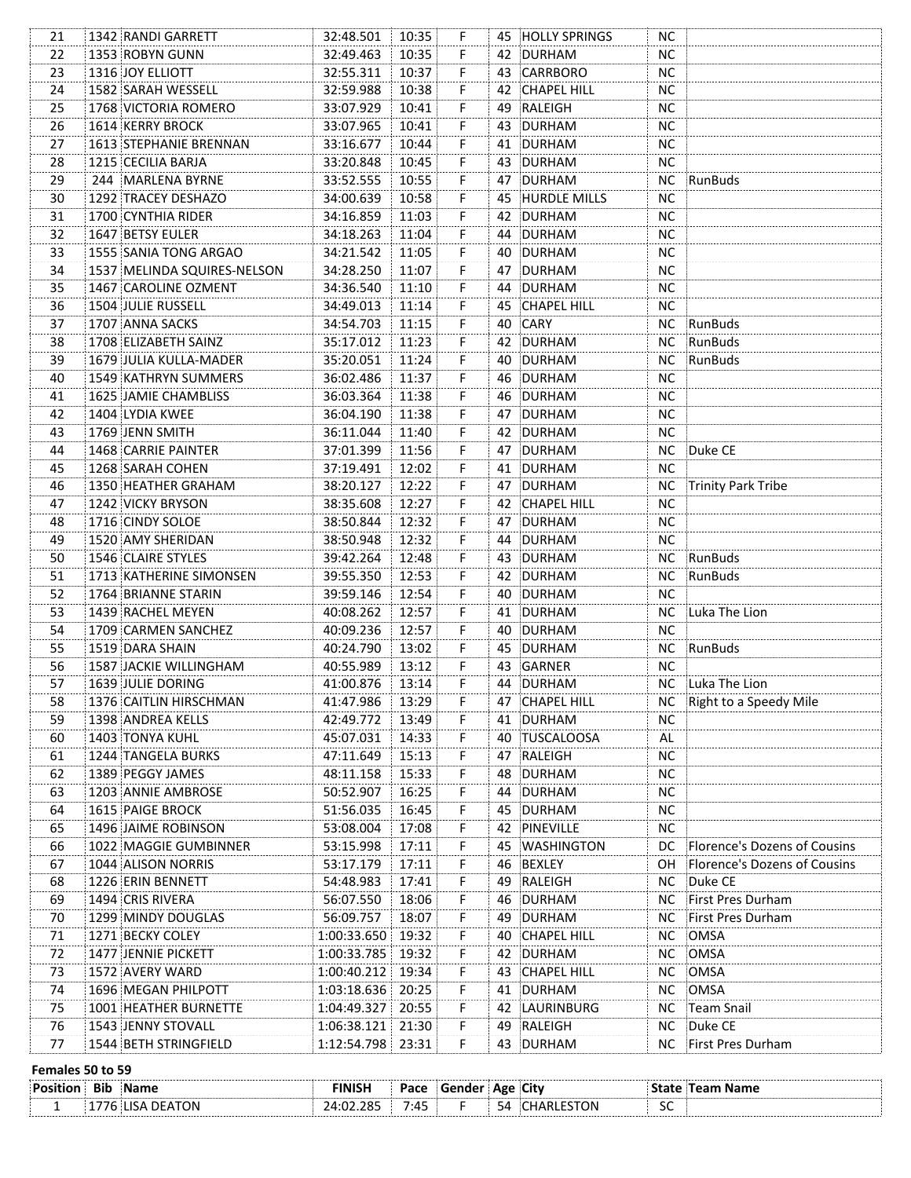| 21 | 1342 RANDI GARRETT          | 32:48.501           | 10:35 | F.                   |     | 45 HOLLY SPRINGS   | NC.       |                              |
|----|-----------------------------|---------------------|-------|----------------------|-----|--------------------|-----------|------------------------------|
| 22 | 1353 ROBYN GUNN             | 32:49.463           | 10:35 | F.                   |     | 42 DURHAM          | <b>NC</b> |                              |
| 23 | 1316 JOY ELLIOTT            | 32:55.311           | 10:37 | F.                   |     | 43 CARRBORO        | <b>NC</b> |                              |
| 24 | 1582 SARAH WESSELL          | 32:59.988           | 10:38 | F                    |     | 42 CHAPEL HILL     | <b>NC</b> |                              |
| 25 | 1768 VICTORIA ROMERO        | 33:07.929           | 10:41 | F                    |     | 49 RALEIGH         | NC        |                              |
| 26 | 1614 KERRY BROCK            | 33:07.965           | 10:41 | $\dddot{\mathsf{F}}$ |     | 43 DURHAM          | <b>NC</b> |                              |
| 27 | 1613 STEPHANIE BRENNAN      | 33:16.677           | 10:44 | $\mathbf{F}$         |     | 41 DURHAM          | NC        |                              |
| 28 | 1215 CECILIA BARJA          | 33:20.848           | 10:45 | F                    |     | 43 DURHAM          | NC        |                              |
| 29 | 244 MARLENA BYRNE           | 33:52.555           | 10:55 | F                    |     | 47 DURHAM          | NC        | RunBuds                      |
| 30 | 1292 TRACEY DESHAZO         | 34:00.639           | 10:58 | F                    |     | 45 HURDLE MILLS    | <b>NC</b> |                              |
| 31 | 1700 CYNTHIA RIDER          | 34:16.859           | 11:03 | F                    |     | 42 DURHAM          | <b>NC</b> |                              |
| 32 | 1647 BETSY EULER            | 34:18.263           | 11:04 | F                    |     | 44 DURHAM          | <b>NC</b> |                              |
| 33 | 1555 SANIA TONG ARGAO       | 34:21.542           | 11:05 | F.                   |     | 40 DURHAM          | <b>NC</b> |                              |
| 34 | 1537 MELINDA SQUIRES-NELSON | 34:28.250           | 11:07 | F.                   |     | 47 DURHAM          | <b>NC</b> |                              |
| 35 | 1467 CAROLINE OZMENT        | 34:36.540           | 11:10 | F.                   |     | 44 DURHAM          | <b>NC</b> |                              |
| 36 | 1504 JULIE RUSSELL          | 34:49.013           | 11:14 | F                    |     | 45 CHAPEL HILL     | <b>NC</b> |                              |
| 37 | 1707 ANNA SACKS             | 34:54.703           | 11:15 | F.                   |     | 40 CARY            |           | NC RunBuds                   |
| 38 | 1708 ELIZABETH SAINZ        | 35:17.012           | 11:23 | F.                   |     | 42 DURHAM          |           | NC RunBuds                   |
| 39 | 1679 JULIA KULLA-MADER      | 35:20.051           | 11:24 | F.                   |     | 40 DURHAM          |           | NC RunBuds                   |
| 40 | 1549 KATHRYN SUMMERS        | 36:02.486           | 11:37 | F.                   |     | 46 DURHAM          | <b>NC</b> |                              |
| 41 | 1625 JAMIE CHAMBLISS        | 36:03.364           | 11:38 | F.                   |     | 46 DURHAM          | <b>NC</b> |                              |
| 42 | 1404 LYDIA KWEE             | 36:04.190           | 11:38 | F.                   |     | 47 DURHAM          | <b>NC</b> |                              |
| 43 | 1769 JENN SMITH             | 36:11.044           | 11:40 | F.                   |     | 42 DURHAM          | <b>NC</b> |                              |
| 44 | 1468 CARRIE PAINTER         | 37:01.399           | 11:56 | F.                   |     | 47 DURHAM          | NC .      | Duke CE                      |
| 45 | 1268 SARAH COHEN            | 37:19.491           | 12:02 | F.                   |     | 41 DURHAM          | <b>NC</b> |                              |
| 46 | 1350 HEATHER GRAHAM         | 38:20.127           | 12:22 | F.                   |     | 47 DURHAM          |           | NC Trinity Park Tribe        |
| 47 | 1242 VICKY BRYSON           | 38:35.608           | 12:27 | F.                   |     | 42 CHAPEL HILL     | <b>NC</b> |                              |
| 48 | 1716 CINDY SOLOE            | 38:50.844           | 12:32 | F.                   |     | 47 DURHAM          | NC.       |                              |
| 49 | 1520 AMY SHERIDAN           | 38:50.948           | 12:32 | F.                   |     | 44 DURHAM          | NC.       |                              |
| 50 | 1546 CLAIRE STYLES          | 39:42.264           | 12:48 | F.                   |     | 43 DURHAM          |           | NC RunBuds                   |
| 51 | 1713 KATHERINE SIMONSEN     | 39:55.350           | 12:53 | F.                   |     | 42 DURHAM          | NC        | RunBuds                      |
| 52 | 1764 BRIANNE STARIN         | 39:59.146           | 12:54 | F.                   |     | 40 DURHAM          | NC.       |                              |
| 53 | 1439 RACHEL MEYEN           | 40:08.262           | 12:57 | F.                   |     | 41 DURHAM          | <b>NC</b> | Luka The Lion                |
| 54 | 1709 CARMEN SANCHEZ         | 40:09.236           | 12:57 | F.                   |     | 40 DURHAM          | <b>NC</b> |                              |
| 55 | 1519 DARA SHAIN             | 40:24.790           | 13:02 | F.                   |     | 45 DURHAM          |           | NC RunBuds                   |
| 56 | 1587 JACKIE WILLINGHAM      | 40:55.989           | 13:12 | F.                   |     | 43 GARNER          | <b>NC</b> |                              |
| 57 | 1639 JULIE DORING           | 41:00.876           | 13:14 | F.                   |     | 44 DURHAM          |           | NC Luka The Lion             |
| 58 | 1376 CAITLIN HIRSCHMAN      | 41:47.986           | 13:29 | F                    |     | 47 CHAPEL HILL     |           | NC Right to a Speedy Mile    |
| 59 | 1398 ANDREA KELLS           | 42:49.772           | 13:49 | F                    |     | 41 DURHAM          | <b>NC</b> |                              |
| 60 | 1403 TONYA KUHL             | 45:07.031           | 14:33 | F.                   |     | 40 TUSCALOOSA      | AL        |                              |
| 61 | 1244 TANGELA BURKS          | 47:11.649           | 15:13 | F.                   |     | 47 RALEIGH         | <b>NC</b> |                              |
| 62 | 1389 PEGGY JAMES            | 48:11.158           | 15:33 | F                    |     | 48 DURHAM          | <b>NC</b> |                              |
| 63 | 1203 ANNIE AMBROSE          | 50:52.907           | 16:25 | F.                   |     | 44 DURHAM          | <b>NC</b> |                              |
| 64 | 1615 PAIGE BROCK            | 51:56.035           | 16:45 | F.                   |     | 45 DURHAM          | <b>NC</b> |                              |
|    | 1496 JAIME ROBINSON         | 53:08.004           | 17:08 |                      |     | 42 PINEVILLE       | <b>NC</b> |                              |
| 65 | 1022 MAGGIE GUMBINNER       | 53:15.998           | 17:11 | F.<br>F.             |     | <b>WASHINGTON</b>  | DC.       | Florence's Dozens of Cousins |
| 66 | 1044 ALISON NORRIS          | 53:17.179           | 17:11 | F.                   | 45  | 46 BEXLEY          | OH.       |                              |
| 67 |                             | 54:48.983           |       |                      |     |                    |           | Florence's Dozens of Cousins |
| 68 | 1226 ERIN BENNETT           |                     | 17:41 | F                    |     | 49 RALEIGH         | NC.       | Duke CE<br>First Pres Durham |
| 69 | 1494 CRIS RIVERA            | 56:07.550           | 18:06 | F.                   |     | 46 DURHAM          | NC.       |                              |
| 70 | 1299 MINDY DOUGLAS          | 56:09.757           | 18:07 | F.<br>F              |     | 49 DURHAM          | NC.       | First Pres Durham            |
| 71 | 1271 BECKY COLEY            | 1:00:33.650 19:32   |       | F                    | 40. | <b>CHAPEL HILL</b> | <b>NC</b> | OMSA                         |
| 72 | 1477 JENNIE PICKETT         | 1:00:33.785 19:32   |       |                      |     | 42 DURHAM          | <b>NC</b> | OMSA                         |
| 73 | 1572 AVERY WARD             | 1:00:40.212         | 19:34 | F                    |     | 43 CHAPEL HILL     | <b>NC</b> | OMSA                         |
| 74 | 1696 MEGAN PHILPOTT         | 1:03:18.636         | 20:25 | F                    |     | 41 DURHAM          | <b>NC</b> | OMSA                         |
| 75 | 1001 HEATHER BURNETTE       | 1:04:49.327         | 20:55 | F                    |     | 42 LAURINBURG      | <b>NC</b> | Team Snail                   |
| 76 | 1543 JENNY STOVALL          | 1:06:38.121         | 21:30 | F                    |     | 49 RALEIGH         | <b>NC</b> | Duke CE                      |
| 77 | 1544 BETH STRINGFIELD       | 1:12:54.798   23:31 |       | F                    |     | 43 DURHAM          | NС        | First Pres Durham            |
|    | Females 50 to 59            |                     |       |                      |     |                    |           |                              |
|    | <b>Position Bib Name</b>    | <b>FINISH</b>       | Pace  | Gender   Age   City  |     |                    |           | <b>State Team Name</b>       |
| 1  | 1776 LISA DEATON            | 24:02.285           | 7:45  | F.                   |     | 54 CHARLESTON      | SC        |                              |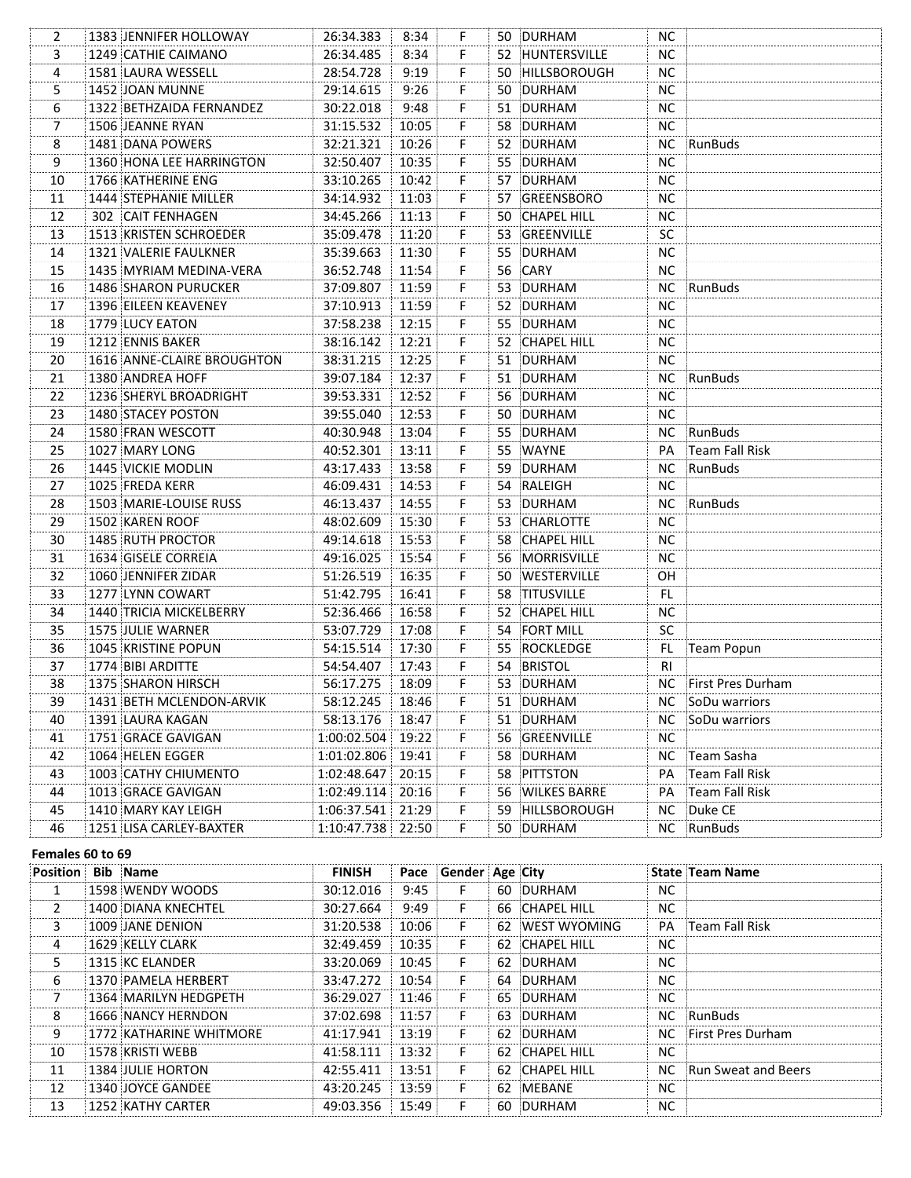| 2              | 1383 JENNIFER HOLLOWAY      | 26:34.383         | 8:34  | F                       | 50 DURHAM       | NС        |                      |
|----------------|-----------------------------|-------------------|-------|-------------------------|-----------------|-----------|----------------------|
| 3              | 1249 CATHIE CAIMANO         | 26:34.485         | 8:34  | F                       | 52 HUNTERSVILLE | <b>NC</b> |                      |
| 4              | 1581 LAURA WESSELL          | 28:54.728         | 9:19  | F.                      | 50 HILLSBOROUGH | <b>NC</b> |                      |
| 5              | 1452 JOAN MUNNE             | 29:14.615         | 9:26  | F.                      | 50 DURHAM       | ΝC        |                      |
| 6              | 1322 BETHZAIDA FERNANDEZ    | 30:22.018         | 9:48  | F.                      | 51 DURHAM       | NC.       |                      |
| 7              | 1506 JEANNE RYAN            | 31:15.532         | 10:05 | F.                      | 58 DURHAM       | NC.       |                      |
| 8              | 1481 DANA POWERS            | 32:21.321         | 10:26 | F.                      | 52 DURHAM       | NC.       | RunBuds              |
| $\overline{9}$ | 1360 HONA LEE HARRINGTON    | 32:50.407         | 10:35 | F.                      | 55 DURHAM       | NС        |                      |
| 10             | 1766 KATHERINE ENG          | 33:10.265         | 10:42 | F.                      | 57 DURHAM       | NC.       |                      |
| 11             | 1444 STEPHANIE MILLER       | 34:14.932         | 11:03 | F.                      | 57 GREENSBORO   | NC.       |                      |
| 12             | 302 CAIT FENHAGEN           | 34:45.266         | 11:13 | F.                      | 50 CHAPEL HILL  | ΝC        |                      |
| 13             | 1513 KRISTEN SCHROEDER      | 35:09.478         | 11:20 | F.                      | 53 GREENVILLE   | <b>SC</b> |                      |
| 14             | 1321 VALERIE FAULKNER       | 35:39.663         | 11:30 | F                       | 55 DURHAM       | <b>NC</b> |                      |
| 15             | 1435 MYRIAM MEDINA-VERA     | 36:52.748         | 11:54 | F.                      | 56 CARY         | <b>NC</b> |                      |
| 16             | <b>1486 SHARON PURUCKER</b> | 37:09.807         | 11:59 | F.                      | 53 DURHAM       | <b>NC</b> | :RunBuds             |
| 17             | 1396 EILEEN KEAVENEY        | 37:10.913         | 11:59 | F.                      | 52 DURHAM       | <b>NC</b> |                      |
| 18             | 1779 LUCY EATON             | 37:58.238         | 12:15 | F.                      | 55 DURHAM       | <b>NC</b> |                      |
| 19             | 1212 ENNIS BAKER            | 38:16.142         | 12:21 | F.                      | 52 CHAPEL HILL  | <b>NC</b> |                      |
| 20             | 1616 ANNE-CLAIRE BROUGHTON  | 38:31.215         | 12:25 | F.                      | 51 DURHAM       | <b>NC</b> |                      |
| 21             | 1380 ANDREA HOFF            | 39:07.184         | 12:37 | F.                      | 51 DURHAM       |           | NC RunBuds           |
| 22             | 1236 SHERYL BROADRIGHT      | 39:53.331         | 12:52 | F.                      | 56 DURHAM       | NC.       |                      |
| 23             | 1480 STACEY POSTON          | 39:55.040         | 12:53 | F.                      | 50 DURHAM       | NC.       |                      |
| 24             | 1580 FRAN WESCOTT           | 40:30.948         | 13:04 | F.                      | 55 DURHAM       | NC .      | RunBuds              |
| 25             | 1027 MARY LONG              | 40:52.301         | 13:11 | F.                      | 55 WAYNE        | PA        | Team Fall Risk       |
| 26             | 1445 VICKIE MODLIN          | 43:17.433         | 13:58 | F.                      | 59 DURHAM       | NC .      | RunBuds              |
| 27             | 1025 FREDA KERR             | 46:09.431         | 14:53 | F.                      | 54 RALEIGH      | <b>NC</b> |                      |
| 28             | 1503 MARIE-LOUISE RUSS      | 46:13.437         | 14:55 | F                       | 53 DURHAM       |           | NC RunBuds           |
| 29             | 1502 KAREN ROOF             | 48:02.609         | 15:30 | F                       | 53 CHARLOTTE    | <b>NC</b> |                      |
| 30             | 1485 RUTH PROCTOR           | 49:14.618         | 15:53 | F                       | 58 CHAPEL HILL  | NC.       |                      |
| 31             | 1634 GISELE CORREIA         | 49:16.025         | 15:54 | F.                      | 56 MORRISVILLE  | NC.       |                      |
| 32             | 1060 JENNIFER ZIDAR         | 51:26.519         | 16:35 | F.                      | 50 WESTERVILLE  | <b>OH</b> |                      |
| 33             | 1277 LYNN COWART            | 51:42.795         | 16:41 | F.                      | 58 TITUSVILLE   | FL.       |                      |
| 34             | 1440 TRICIA MICKELBERRY     | 52:36.466         | 16:58 | F.                      | 52 CHAPEL HILL  | <b>NC</b> |                      |
| 35             | 1575 JULIE WARNER           | 53:07.729         | 17:08 | F.                      | 54 FORT MILL    | SC        |                      |
| 36             | 1045 KRISTINE POPUN         | 54:15.514         | 17:30 | F.                      | 55 ROCKLEDGE    | FL.       | Team Popun           |
| 37             | 1774 BIBI ARDITTE           | 54:54.407         | 17:43 | F.                      | 54 BRISTOL      | <b>RI</b> |                      |
| 38             | 1375 SHARON HIRSCH          | 56:17.275         | 18:09 | F.                      | 53 DURHAM       |           | NC First Pres Durham |
| 39             | 1431 BETH MCLENDON-ARVIK    | 58:12.245         | 18:46 | F                       | 51 DURHAM       | NC.       | SoDu warriors        |
| 40             | 1391 LAURA KAGAN            | 58:13.176         | 18:47 | F                       | 51 DURHAM       | NС        | SoDu warriors        |
| 41             | 1751 GRACE GAVIGAN          | 1:00:02.504       | 19:22 | $\overline{\mathsf{F}}$ | 56 GREENVILLE   | <b>NC</b> |                      |
| 42             | 1064 HELEN EGGER            | 1:01:02.806 19:41 |       | $\dddot{\mathsf{F}}$    | 58 DURHAM       | NC.       | Team Sasha           |
| 43             | 1003 CATHY CHIUMENTO        | 1:02:48.647       | 20:15 | F.                      | 58 PITTSTON     | PA        | Team Fall Risk       |
| 44             | 1013 GRACE GAVIGAN          | 1:02:49.114       | 20:16 | F                       | 56 WILKES BARRE | PA        | Team Fall Risk       |
| 45             | 1410 MARY KAY LEIGH         | 1:06:37.541       | 21:29 | F                       | 59 HILLSBOROUGH | <b>NC</b> | Duke CE              |
| 46             | 1251 LISA CARLEY-BAXTER     | 1:10:47.738       | 22:50 | F.                      | 50 DURHAM       | NC        | RunBuds              |
|                |                             |                   |       |                         |                 |           |                      |

#### Females 60 to 69

| Position | <b>Bib</b> Name          | <b>FINISH</b> |        | Pace Gender Age City |                 |           | <b>State Team Name</b>     |
|----------|--------------------------|---------------|--------|----------------------|-----------------|-----------|----------------------------|
|          | 1598 WENDY WOODS         | 30:12.016     | 9:45   |                      | 60 DURHAM       | NC.       |                            |
|          | 1400 DIANA KNECHTEL      | 30:27.664     | 9:49   | F.                   | 66 CHAPEL HILL  | NC.       |                            |
| 3        | 1009 JANE DENION         | 31:20.538     | 10:06  | F                    | 62 WEST WYOMING |           | <b>PA</b> : Team Fall Risk |
| 4        | 1629 KELLY CLARK         | 32:49.459     | 10:35  |                      | 62 CHAPEL HILL  | NC.       |                            |
|          | 1315 KC ELANDER          | 33:20.069     | 10:45  |                      | 62 DURHAM       | <b>NC</b> |                            |
| 6        | 1370 PAMELA HERBERT      | 33:47.272     | 10:54  | F                    | 64 DURHAM       | NC.       |                            |
|          | 1364 MARILYN HEDGPETH    | 36:29.027     | 11:46  | F.                   | 65 DURHAM       | NC.       |                            |
| 8        | 1666 NANCY HERNDON       | 37:02.698     | 11.57: |                      | 63 DURHAM       |           | NC RunBuds                 |
| 9        | 1772 KATHARINE WHITMORE  | 41:17.941     | 13:19  |                      | 62 DURHAM       |           | NC First Pres Durham       |
| 10       | 1578 KRISTI WEBB         | 41:58.111     | 13:32  | F                    | 62 CHAPEL HILL  | <b>NC</b> |                            |
| 11       | <b>1384 JULIE HORTON</b> | 42:55.411     | 13:51  | F.                   | 62 CHAPEL HILL  |           | NC Run Sweat and Beers     |
| 12       | 1340 JOYCE GANDEE        | 43:20.245     | 13:59: |                      | 62 MEBANE       | NC.       |                            |
| 13       | 1252 KATHY CARTER        | 49:03.356     | 15:49  |                      | 60 DURHAM       | NС        |                            |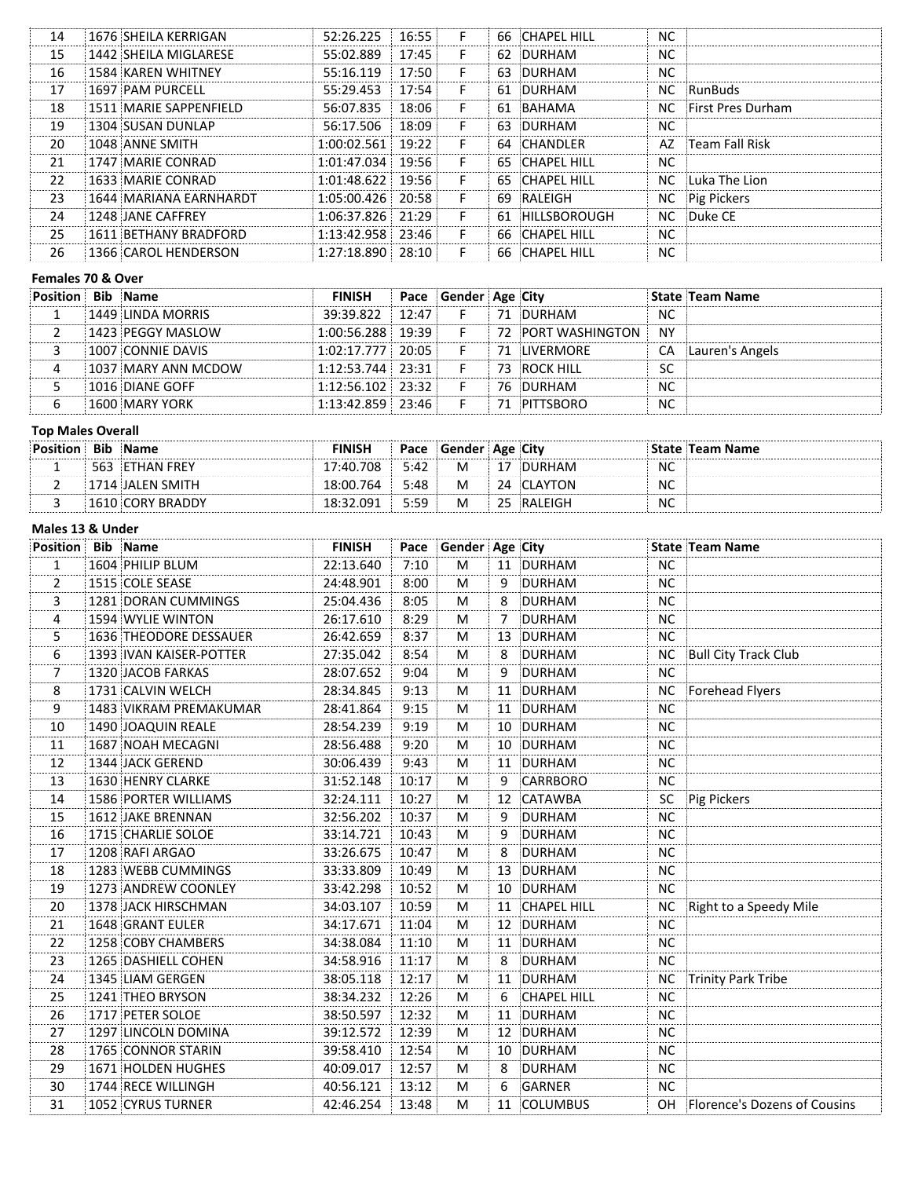| 14 | 1676 SHEILA KERRIGAN   | 52:26.225           | 16:55  | F. | 66 CHAPEL HILL  | <b>NC</b> |                      |  |
|----|------------------------|---------------------|--------|----|-----------------|-----------|----------------------|--|
| 15 | 1442 SHEILA MIGLARESE  | 55:02.889           | 17:45  | F. | 62 DURHAM       | NC.       |                      |  |
| 16 | 1584 KAREN WHITNEY     | 55:16.119           | 17:50  | F  | 63 DURHAM       | <b>NC</b> |                      |  |
| 17 | 1697 PAM PURCELL       | 55:29.453           | 17:54  | F. | 61 DURHAM       |           | NC RunBuds           |  |
| 18 | 1511 MARIE SAPPENFIELD | 56:07.835           | 18:06  | F. | 61 BAHAMA       |           | NC First Pres Durham |  |
| 19 | 1304 SUSAN DUNLAP      | 56:17.506           | 18:09: |    | 63 DURHAM       | <b>NC</b> |                      |  |
| 20 | 1048 ANNE SMITH        | $1:00:02.561$ 19:22 |        | F  | 64 CHANDI FR    |           | AZ Feam Fall Risk    |  |
| 21 | 1747 MARIF CONRAD      | $1:01:47.034$ 19:56 |        | F  | 65 CHAPEL HILL  | NC.       |                      |  |
| 22 | 1633 MARIE CONRAD      | $1:01:48.622$ 19:56 |        | F. | 65 CHAPEL HILL  | NC.       | iLuka The Lion       |  |
| 23 | 1644 MARIANA EARNHARDT | $1:05:00.426$ 20:58 |        | F  | 69 RALEIGH      |           | NC Pig Pickers       |  |
| 24 | 1248 JANE CAFFREY      | $1:06:37.826$ 21:29 |        | F  | 61 HILLSBOROUGH |           | NC Duke CE           |  |
| 25 | 1611 BETHANY BRADFORD  | $1:13:42.958$ 23:46 |        | F  | 66 CHAPEL HILL  | NC.       |                      |  |
| 26 | 1366 CAROL HENDERSON   | $1:27:18.890$ 28:10 |        | F  | 66 CHAPEL HILL  | NC        |                      |  |
|    |                        |                     |        |    |                 |           |                      |  |

# **Females 70 & Over**

| <b>Position</b> | <b>Bib</b> Name       | <b>FINISH</b>       |       | Pace Gender Age City |                    |     | <b>State Team Name</b> |
|-----------------|-----------------------|---------------------|-------|----------------------|--------------------|-----|------------------------|
|                 | 1449 LINDA MORRIS     | 39:39.822           | 12:47 |                      | 71 DURHAM          | NC  |                        |
|                 | 1423 PEGGY MASLOW     | $1:00:56.288$ 19:39 |       |                      | 72 PORT WASHINGTON | N٧  |                        |
|                 | 1007 CONNIE DAVIS     | $1:02:17.777$ 20:05 |       |                      | 71 ILIVERMORE      | CA. | Lauren's Angels        |
|                 | 1037 MARY ANN MCDOW   | $1:12:53.744$ 23:31 |       |                      | 73 ROCK HILL       | SC  |                        |
|                 | 1016 DIANE GOFF       | $1:12:56.102$ 23:32 |       |                      | 76 DURHAM          | NC  |                        |
|                 | <b>1600 MARY YORK</b> | $1:13:42.859$ 23:46 |       |                      | 71 PITTSBORO       | NC  |                        |

#### **Top Males Overall**

| <b>Bib</b> | <b>Name</b>     | <b>FINISH</b> |      | Pace Gender Age City |               |                | State Team Name |
|------------|-----------------|---------------|------|----------------------|---------------|----------------|-----------------|
|            | 563 ETHAN FREY  | 17:40.708     | 5:42 | M                    | <b>DURHAM</b> | <b>NC</b>      |                 |
|            | 714 JALEN SMITH | 18:00.764     | 5:48 | M                    |               | <b>NC</b><br>. |                 |
|            | / BRADDY        | <b>091</b>    | 5:59 | M                    | ∶RALEIG⊦      | NC             |                 |

# **Males 13 & Under**

| <b>Position Bib Name</b> |                             | <b>FINISH</b> |       | Pace Gender Age City |    |                    |           | <b>State Team Name</b>          |
|--------------------------|-----------------------------|---------------|-------|----------------------|----|--------------------|-----------|---------------------------------|
| 1<br>                    | 1604 PHILIP BLUM            | 22:13.640     | 7:10  | M                    |    | 11 DURHAM          | <b>NC</b> |                                 |
| 2                        | 1515 COLE SEASE             | 24:48.901     | 8:00  | М                    | 9  | DURHAM             | <b>NC</b> |                                 |
| 3                        | 1281 DORAN CUMMINGS         | 25:04.436     | 8:05  | М                    | 8  | DURHAM             | <b>NC</b> |                                 |
| 4                        | 1594 WYLIE WINTON           | 26:17.610     | 8:29  | M                    | 7  | DURHAM             | <b>NC</b> |                                 |
| 5                        | 1636 THEODORE DESSAUER      | 26:42.659     | 8:37  | М                    | 13 | DURHAM             | <b>NC</b> |                                 |
| 6                        | 1393 IVAN KAISER-POTTER     | 27:35.042     | 8:54  | М                    | 8  | DURHAM             | <b>NC</b> | Bull City Track Club            |
| 7                        | 1320 JACOB FARKAS           | 28:07.652     | 9:04  | M                    | 9  | DURHAM             | <b>NC</b> |                                 |
| 8                        | 1731 CALVIN WELCH           | 28:34.845     | 9:13  | M                    | 11 | DURHAM             | <b>NC</b> | Forehead Flyers                 |
| 9                        | 1483 VIKRAM PREMAKUMAR      | 28:41.864     | 9:15  | М                    |    | 11 DURHAM          | <b>NC</b> |                                 |
| $10\,$                   | 1490 JOAQUIN REALE          | 28:54.239     | 9:19  | M                    | 10 | DURHAM             | <b>NC</b> |                                 |
| 11                       | 1687 NOAH MECAGNI           | 28:56.488     | 9:20  | M                    |    | 10 DURHAM          | <b>NC</b> |                                 |
| 12                       | 1344 JACK GEREND            | 30:06.439     | 9:43  | M                    |    | 11 DURHAM          | <b>NC</b> |                                 |
| 13                       | <b>1630 HENRY CLARKE</b>    | 31:52.148     | 10:17 | M                    | 9  | CARRBORO           | <b>NC</b> |                                 |
| 14                       | <b>1586 PORTER WILLIAMS</b> | 32:24.111     | 10:27 | M                    | 12 | CATAWBA            | SC        | Pig Pickers                     |
| 15                       | 1612 JAKE BRENNAN           | 32:56.202     | 10:37 | М                    | 9  | DURHAM             | <b>NC</b> |                                 |
| 16                       | 1715 CHARLIE SOLOE          | 33:14.721     | 10:43 | M                    | 9  | DURHAM             | <b>NC</b> |                                 |
| 17                       | 1208 RAFI ARGAO             | 33:26.675     | 10:47 | М                    | 8  | DURHAM             | <b>NC</b> |                                 |
| 18                       | 1283 WEBB CUMMINGS          | 33:33.809     | 10:49 | M                    |    | 13 DURHAM          | <b>NC</b> |                                 |
| 19                       | 1273 ANDREW COONLEY         | 33:42.298     | 10:52 | M                    |    | 10 DURHAM          | <b>NC</b> |                                 |
| 20                       | 1378 JACK HIRSCHMAN         | 34:03.107     | 10:59 | M                    | 11 | <b>CHAPEL HILL</b> | NC        | Right to a Speedy Mile          |
| 21                       | 1648 GRANT EULER            | 34:17.671     | 11:04 | М                    |    | 12 DURHAM          | <b>NC</b> |                                 |
| 22                       | 1258 COBY CHAMBERS          | 34:38.084     | 11:10 | М                    |    | 11 DURHAM          | <b>NC</b> |                                 |
| 23                       | 1265 DASHIELL COHEN         | 34:58.916     | 11:17 | M                    | 8  | <b>DURHAM</b>      | <b>NC</b> |                                 |
| 24                       | 1345 LIAM GERGEN            | 38:05.118     | 12:17 | M                    |    | 11 DURHAM          |           | NC Trinity Park Tribe           |
| 25                       | 1241 THEO BRYSON            | 38:34.232     | 12:26 | M                    | 6  | <b>CHAPEL HILL</b> | <b>NC</b> |                                 |
| 26                       | 1717 PETER SOLOE            | 38:50.597     | 12:32 | M                    | 11 | DURHAM             | <b>NC</b> |                                 |
| 27                       | 1297 LINCOLN DOMINA         | 39:12.572     | 12:39 | M                    | 12 | DURHAM             | <b>NC</b> |                                 |
| 28                       | 1765 CONNOR STARIN          | 39:58.410     | 12:54 | М                    |    | 10 DURHAM          | <b>NC</b> |                                 |
| 29                       | 1671 HOLDEN HUGHES          | 40:09.017     | 12:57 | M                    | 8  | DURHAM             | <b>NC</b> |                                 |
| 30                       | 1744 RECE WILLINGH          | 40:56.121     | 13:12 | M                    | 6  | GARNER             | <b>NC</b> |                                 |
| 31                       | 1052 CYRUS TURNER           | 42:46.254     | 13:48 | M                    |    | 11 COLUMBUS        |           | OH Florence's Dozens of Cousins |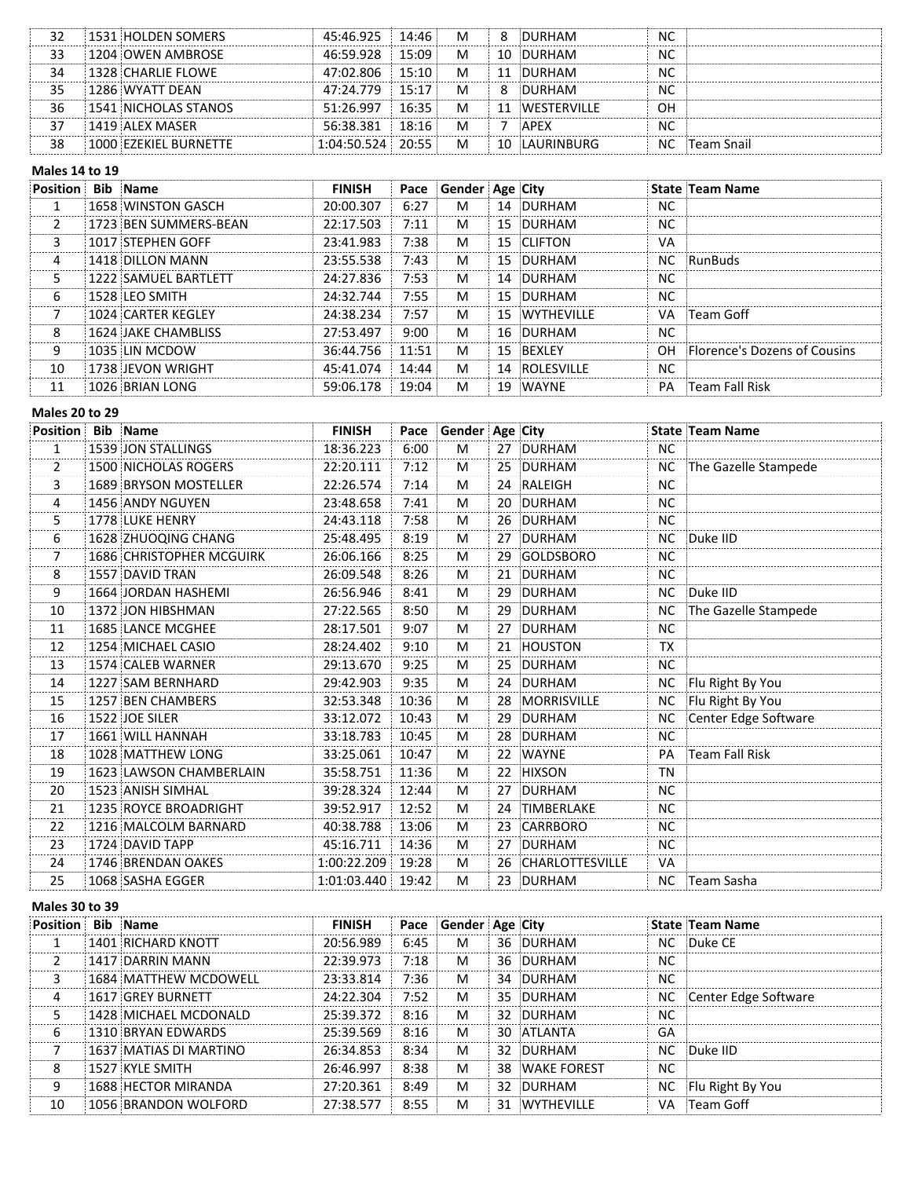|    | 1531 HOLDEN SOMERS    | 45:46.925           | 14:46 | М |    | DURHAM             | <b>NC</b>          |
|----|-----------------------|---------------------|-------|---|----|--------------------|--------------------|
|    | 1204 OWEN AMBROSE     | 46.59 928           | 15.09 | М |    | 10 DURHAM          | <b>NC</b>          |
| 34 | 1328 CHARLIE FLOWE    | 47:02.806           | 15:10 | м |    | 11 DURHAM          | NC                 |
| 35 | 1286 WYATT DFAN       | 47:24.779           | 15.17 | M |    | DURHAM             | <b>NC</b>          |
| 36 | 1541 NICHOLAS STANOS  | 51.2697             | 16.35 | м | 11 | <b>WESTERVILLE</b> | OН                 |
|    | 1419 ALEX MASER       | 56:38.381           | 18:16 | M |    | <b>APFX</b>        | <b>NC</b>          |
| 38 | 1000 FZFKIFL BURNETTE | $0.4.50524 + 20.55$ |       | М | 10 | <b>LAURINBURG</b>  | ंTeam Snail<br>NC. |

#### **Males 14 to 19**

| Position Bib Name |                            | <b>FINISH</b> |        | Pace Gender Age City |    |               |           | <b>State Team Name</b>              |
|-------------------|----------------------------|---------------|--------|----------------------|----|---------------|-----------|-------------------------------------|
|                   | 1658 WINSTON GASCH         | 20:00.307     | 6:27   | м                    |    | 14 DURHAM     | <b>NC</b> |                                     |
|                   | 1723 BEN SUMMERS-BEAN      | 22:17.503     | 7:11   | M                    |    | 15 DURHAM     | NC.       |                                     |
|                   | 1017 STEPHEN GOFF          | 23:41.983     | 7:38   | M                    |    | 15 CLIFTON    | VA        |                                     |
| 4                 | 1418 DILLON MANN           | 23:55.538     | 7:43   | м                    |    | 15 DURHAM     |           | NC RunBuds                          |
|                   | 1222 SAMUEL BARTLETT       | 24:27.836     | 7:53   | м                    |    | 14 DURHAM     | NC.       |                                     |
| 6                 | 1528 I FO SMITH            | 24.32 744     | 7:55   | м                    |    | 15 DURHAM     | <b>NC</b> |                                     |
|                   | 1024 CARTER KEGLEY         | 24:38.234     | 7:57   | м                    |    | 15 WYTHEVILLE | VA.       | :Team Goff                          |
|                   | <b>1624 JAKE CHAMBLISS</b> | 27:53.497     | 9:00   | M                    |    | 16 DURHAM     | NC.       |                                     |
|                   | 1035 IIN MCDOW             | 36:44.756     | 11:51: | M                    |    | 15 BFXI FY    | OH.       | <b>Elorence's Dozens of Cousins</b> |
| 10                | 1738 JEVON WRIGHT          | 45:41.074     | 14:44: | м                    |    | 14 ROLESVILLE | NC        |                                     |
|                   | 1026 BRIAN LONG            | 59:06.178     | 19:04  | м                    | 19 | :WAYNE        | PA        | :Team Fall Risk                     |

#### **Males 20 to 29**

| <b>Position</b> | <b>Bib</b> Name                 | <b>FINISH</b>     | Pace  | Gender Age City |    |                    |           | <b>State Team Name</b> |
|-----------------|---------------------------------|-------------------|-------|-----------------|----|--------------------|-----------|------------------------|
| $\mathbf{1}$    | 1539 JON STALLINGS              | 18:36.223         | 6:00  | M               |    | 27 DURHAM          | <b>NC</b> |                        |
| 2               | <b>1500 NICHOLAS ROGERS</b>     | 22:20.111         | 7:12  | м               |    | 25 DURHAM          | <b>NC</b> | The Gazelle Stampede   |
| 3               | 1689 BRYSON MOSTELLER           | 22:26.574         | 7:14  | М               |    | 24 RALEIGH         | <b>NC</b> |                        |
| 4               | 1456 ANDY NGUYEN                | 23:48.658         | 7:41  | М               |    | 20 DURHAM          | <b>NC</b> |                        |
| 5               | 1778 LUKE HENRY                 | 24:43.118         | 7:58  | М               |    | 26 DURHAM          | <b>NC</b> |                        |
| 6               | 1628 ZHUOQING CHANG             | 25:48.495         | 8:19  | М               |    | 27 DURHAM          |           | NC Duke IID            |
| 7<br>           | <b>1686 CHRISTOPHER MCGUIRK</b> | 26:06.166         | 8:25  | M               |    | 29 GOLDSBORO       | <b>NC</b> |                        |
| 8               | 1557 DAVID TRAN                 | 26:09.548         | 8:26  | M               |    | 21 DURHAM          | <b>NC</b> |                        |
| 9               | 1664 JORDAN HASHEMI             | 26:56.946         | 8:41  | м               |    | 29 DURHAM          | NC.       | Duke IID               |
| 10              | 1372 JON HIBSHMAN               | 27:22.565         | 8:50  | M               | 29 | DURHAM             | <b>NC</b> | The Gazelle Stampede   |
| 11              | 1685 LANCE MCGHEE               | 28:17.501         | 9:07  | M               |    | 27 DURHAM          | <b>NC</b> |                        |
| 12              | 1254 MICHAEL CASIO              | 28:24.402         | 9:10  | М               |    | 21 HOUSTON         | <b>TX</b> |                        |
| 13              | 1574 CALEB WARNER               | 29:13.670         | 9:25  | М               |    | 25 DURHAM          | <b>NC</b> |                        |
| 14              | 1227 SAM BERNHARD               | 29:42.903         | 9:35  | М               |    | 24 DURHAM          | <b>NC</b> | Flu Right By You       |
| 15              | 1257 BEN CHAMBERS               | 32:53.348         | 10:36 | M               |    | 28 MORRISVILLE     | <b>NC</b> | Flu Right By You       |
| 16              | 1522 JOE SILER                  | 33:12.072         | 10:43 | M               |    | 29 DURHAM          | NC.       | Center Edge Software   |
| 17              | 1661 WILL HANNAH                | 33:18.783         | 10:45 | М               |    | 28 DURHAM          | <b>NC</b> |                        |
| 18              | 1028 MATTHEW LONG               | 33:25.061         | 10:47 | M               |    | 22 WAYNE           | PA        | Team Fall Risk         |
| 19              | 1623 LAWSON CHAMBERLAIN         | 35:58.751         | 11:36 | M               |    | 22 HIXSON          | <b>TN</b> |                        |
| 20              | 1523 ANISH SIMHAL               | 39:28.324         | 12:44 | M               |    | 27 DURHAM          | <b>NC</b> |                        |
| 21              | 1235 ROYCE BROADRIGHT           | 39:52.917         | 12:52 | М               |    | 24 TIMBERLAKE      | <b>NC</b> |                        |
| 22              | 1216 MALCOLM BARNARD            | 40:38.788         | 13:06 | M               |    | 23 CARRBORO        | <b>NC</b> |                        |
| 23              | 1724 DAVID TAPP                 | 45:16.711         | 14:36 | M               |    | 27 DURHAM          | <b>NC</b> |                        |
| 24              | 1746 BRENDAN OAKES              | 1:00:22.209       | 19:28 | M               |    | 26 CHARLOTTESVILLE | VA        |                        |
| 25              | 1068 SASHA EGGER                | 1:01:03.440 19:42 |       | M               |    | 23 DURHAM          |           | NC Team Sasha          |
|                 |                                 |                   |       |                 |    |                    |           |                        |

#### **Males 30 to 39**

| <b>Position</b> | <b>Bib</b> Name        | <b>FINISH</b> |      | Pace Gender Age City |                |    | <b>State Team Name</b>  |
|-----------------|------------------------|---------------|------|----------------------|----------------|----|-------------------------|
|                 | 1401 RICHARD KNOTT     | 20:56.989     | 6:45 | м                    | 36 DURHAM      |    | NC Duke CE              |
|                 | 1417 DARRIN MANN       | 22:39.973     | 7:18 | м                    | 36 DURHAM      | NC |                         |
|                 | 1684 MATTHEW MCDOWELL  | 23:33.814     | 7:36 | M                    | 34 DURHAM      | NC |                         |
| 4               | 1617 GREY BURNETT      | 24:22.304     | 7:52 | м                    | 35 DURHAM      |    | NC Center Edge Software |
|                 | 1428 MICHAEL MCDONALD  | 25:39.372     | 8:16 | M                    | 32 DURHAM      | NC |                         |
| 6               | 1310 BRYAN FDWARDS     | 25:39.569     | 8:16 | M                    | 30 ATI ANTA    | GA |                         |
|                 | 1637 MATIAS DI MARTINO | 26:34.853     | 8:34 | M                    | 32 DURHAM      |    | NC Duke IID             |
| 8               | 1527 KYLE SMITH        | 26:46.997     | 8:38 | M                    | 38 WAKE FOREST | NC |                         |
| n               | 1688 HECTOR MIRANDA    | 27:20.361     | 8:49 | м                    | 32 DURHAM      |    | NC Flu Right By You     |
| 10              | 1056 BRANDON WOLFORD   | 27:38.577     | 8:55 | м                    | 31 WYTHEVILLE  |    | VA : Team Goff          |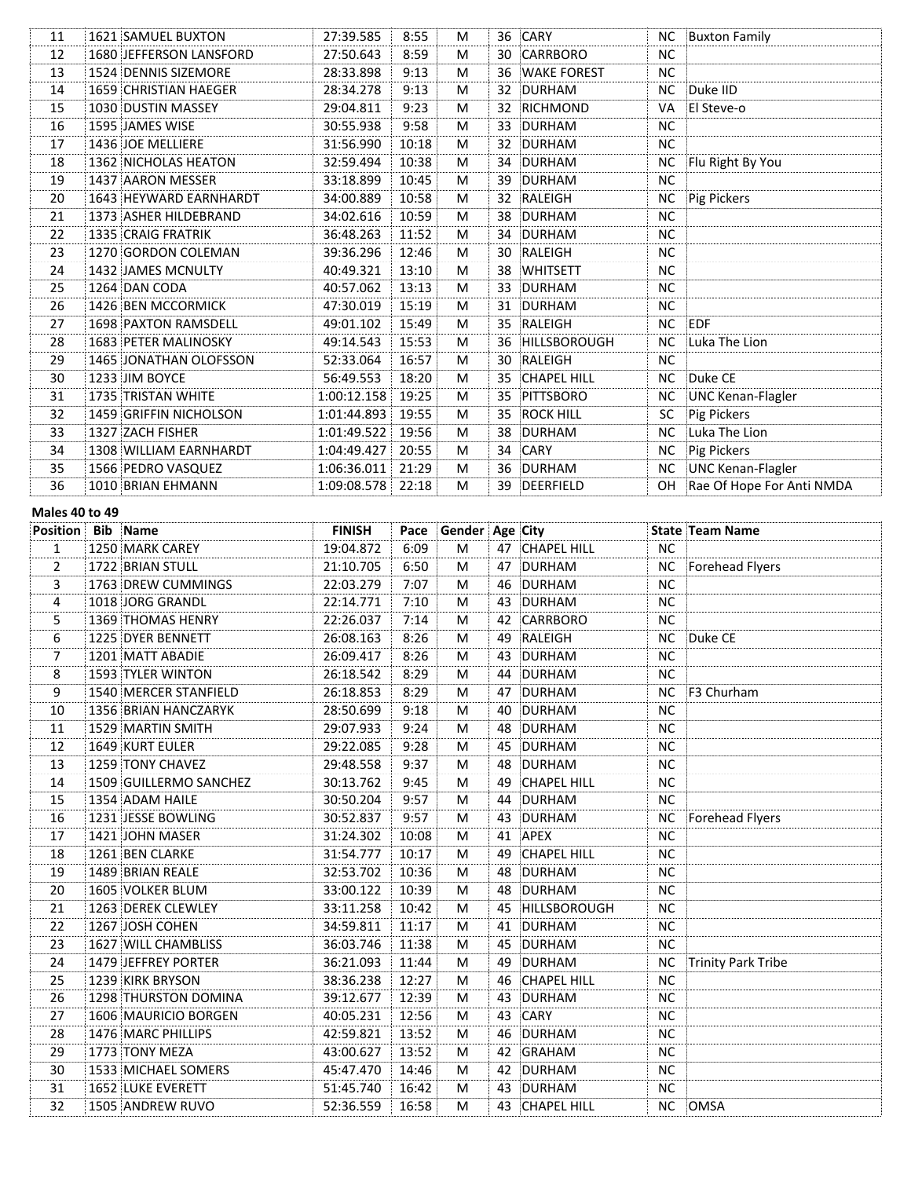| 11                 | 1621 SAMUEL BUXTON            | 27:39.585           | 8:55  | M |    | 36 CARY         | NC.       | Buxton Family                |
|--------------------|-------------------------------|---------------------|-------|---|----|-----------------|-----------|------------------------------|
| 12                 | 1680 JEFFERSON LANSFORD       | 27:50.643           | 8:59  | M | 30 | CARRBORO        | <b>NC</b> |                              |
| 13                 | 1524 DENNIS SIZEMORE          | 28:33.898           | 9:13  | M |    | 36 WAKE FOREST  | <b>NC</b> |                              |
| 14                 | 1659 CHRISTIAN HAEGER         | 28:34.278           | 9:13  | M |    | 32 DURHAM       | <b>NC</b> | Duke IID                     |
| 15                 | 1030 DUSTIN MASSEY            | 29:04.811           | 9:23  | M |    | 32 RICHMOND     | VA        | El Steve-o                   |
| 16                 | 1595 JAMES WISE               | 30:55.938           | 9:58  | M |    | 33 DURHAM       | <b>NC</b> |                              |
| 17                 | 1436 JOE MELLIERE             | 31:56.990           | 10:18 | M |    | 32 DURHAM       | <b>NC</b> |                              |
| 18                 | 1362 NICHOLAS HEATON          | 32:59.494           | 10:38 | M |    | 34 DURHAM       | NC.       | Flu Right By You             |
| 19                 | 1437 AARON MESSER             | 33:18.899           | 10:45 | M |    | 39 DURHAM       | <b>NC</b> |                              |
| 20                 | <b>1643 HEYWARD EARNHARDT</b> | 34:00.889           | 10:58 | M |    | 32 RALEIGH      | NC.       | Pig Pickers                  |
| 21                 | 1373 ASHER HILDEBRAND         | 34:02.616           | 10:59 | M |    | 38 DURHAM       | <b>NC</b> |                              |
| 22                 | 1335 CRAIG FRATRIK            | 36:48.263           | 11:52 | M |    | 34 DURHAM       | <b>NC</b> |                              |
| 23                 | 1270 GORDON COLEMAN           | 39:36.296           | 12:46 | M |    | 30 RALEIGH      | <b>NC</b> |                              |
| 24                 | 1432 JAMES MCNULTY            | 40:49.321           | 13:10 | M |    | 38 WHITSETT     | <b>NC</b> |                              |
| 25                 | 1264 DAN CODA                 | 40:57.062           | 13:13 | M |    | 33 DURHAM       | <b>NC</b> |                              |
| 26                 | 1426 BEN MCCORMICK            | 47:30.019           | 15:19 | M |    | 31 DURHAM       | <b>NC</b> |                              |
| 27                 | 1698 PAXTON RAMSDELL          | 49:01.102           | 15:49 | M |    | 35 RALEIGH      |           | NC EDF                       |
| 28                 | 1683 PETER MALINOSKY          | 49:14.543           | 15:53 | M |    | 36 HILLSBOROUGH |           | NC Luka The Lion             |
| 29                 | 1465 JONATHAN OLOFSSON        | 52:33.064           | 16:57 | M |    | 30 RALEIGH      | <b>NC</b> |                              |
| 30                 | 1233 JIM BOYCE                | 56:49.553           | 18:20 | M |    | 35 CHAPEL HILL  | NC.       | Duke CE                      |
| 31                 | 1735 TRISTAN WHITE            | 1:00:12.158         | 19:25 | M |    | 35 PITTSBORO    |           | NC UNC Kenan-Flagler         |
| 32                 | 1459 GRIFFIN NICHOLSON        | 1:01:44.893         | 19:55 | M |    | 35 ROCK HILL    | SC.       | Pig Pickers                  |
| 33                 | 1327 ZACH FISHER              | 1:01:49.522         | 19:56 | M |    | 38 DURHAM       | <b>NC</b> | Luka The Lion                |
| 34                 | 1308 WILLIAM EARNHARDT        | 1:04:49.427   20:55 |       | M |    | 34 CARY         | NC.       | Pig Pickers                  |
| 35                 | 1566 PEDRO VASQUEZ            | 1:06:36.011 21:29   |       | M |    | 36 DURHAM       |           | NC UNC Kenan-Flagler         |
| 36                 | 1010 BRIAN EHMANN             | 1:09:08.578 22:18   |       | M |    | 39 DEERFIELD    |           | OH Rae Of Hope For Anti NMDA |
| $A = 1 - 101 - 10$ |                               |                     |       |   |    |                 |           |                              |

#### **Males 40 to 49**

| <b>Position Bib Name</b> |                          | <b>FINISH</b> |       | Pace Gender Age City |    |                    |           | State Team Name    |
|--------------------------|--------------------------|---------------|-------|----------------------|----|--------------------|-----------|--------------------|
| $\mathbf{1}$<br>.        | 1250 MARK CAREY          | 19:04.872     | 6:09  | M                    |    | 47 CHAPEL HILL     | NC        |                    |
| 2                        | 1722 BRIAN STULL         | 21:10.705     | 6:50  | М                    | 47 | DURHAM             | <b>NC</b> | Forehead Flyers    |
| 3                        | 1763 DREW CUMMINGS       | 22:03.279     | 7:07  | м                    |    | 46 DURHAM          | <b>NC</b> |                    |
| 4                        | 1018 JORG GRANDL         | 22:14.771     | 7:10  | M                    |    | 43 DURHAM          | <b>NC</b> |                    |
| 5                        | 1369 THOMAS HENRY        | 22:26.037     | 7:14  | M                    |    | 42 CARRBORO        | <b>NC</b> |                    |
| 6                        | 1225 DYER BENNETT        | 26:08.163     | 8:26  | M                    |    | 49 RALEIGH         | <b>NC</b> | Duke CE            |
| 7                        | 1201 MATT ABADIE         | 26:09.417     | 8:26  | м                    |    | 43 DURHAM          | <b>NC</b> |                    |
| 8                        | 1593 TYLER WINTON        | 26:18.542     | 8:29  | M                    |    | 44 DURHAM          | <b>NC</b> |                    |
| 9                        | 1540 MERCER STANFIELD    | 26:18.853     | 8:29  | M                    |    | 47 DURHAM          | <b>NC</b> | F3 Churham         |
| 10                       | 1356 BRIAN HANCZARYK     | 28:50.699     | 9:18  | M                    | 40 | DURHAM             | <b>NC</b> |                    |
| 11                       | 1529 MARTIN SMITH        | 29:07.933     | 9:24  | м                    |    | 48 DURHAM          | <b>NC</b> |                    |
| 12                       | <b>1649 KURT EULER</b>   | 29:22.085     | 9:28  | M                    |    | 45 DURHAM          | <b>NC</b> |                    |
| 13                       | 1259 TONY CHAVEZ         | 29:48.558     | 9:37  | М                    |    | 48 DURHAM          | <b>NC</b> |                    |
| 14                       | 1509 GUILLERMO SANCHEZ   | 30:13.762     | 9:45  | М                    | 49 | <b>CHAPEL HILL</b> | <b>NC</b> |                    |
| 15                       | 1354 ADAM HAILE          | 30:50.204     | 9:57  | М                    |    | 44 DURHAM          | <b>NC</b> |                    |
| 16                       | 1231 JESSE BOWLING       | 30:52.837     | 9:57  | М                    |    | 43 DURHAM          | NC        | Forehead Flyers    |
| 17                       | 1421 JOHN MASER          | 31:24.302     | 10:08 | М                    | 41 | APEX               | <b>NC</b> |                    |
| 18                       | 1261 BEN CLARKE          | 31:54.777     | 10:17 | M                    | 49 | <b>CHAPEL HILL</b> | <b>NC</b> |                    |
| 19                       | 1489 BRIAN REALE         | 32:53.702     | 10:36 | M                    |    | 48 DURHAM          | NC.       |                    |
| 20                       | 1605 VOLKER BLUM         | 33:00.122     | 10:39 | M                    | 48 | DURHAM             | <b>NC</b> |                    |
| 21                       | 1263 DEREK CLEWLEY       | 33:11.258     | 10:42 | M                    |    | 45 HILLSBOROUGH    | <b>NC</b> |                    |
| 22                       | 1267 JOSH COHEN          | 34:59.811     | 11:17 | м                    |    | 41 DURHAM          | <b>NC</b> |                    |
| 23                       | 1627 WILL CHAMBLISS      | 36:03.746     | 11:38 | M                    |    | 45 DURHAM          | <b>NC</b> |                    |
| 24                       | 1479 JEFFREY PORTER      | 36:21.093     | 11:44 | M                    | 49 | DURHAM             | <b>NC</b> | Trinity Park Tribe |
| 25                       | 1239 KIRK BRYSON         | 38:36.238     | 12:27 | м                    | 46 | <b>CHAPEL HILL</b> | <b>NC</b> |                    |
| 26                       | 1298 THURSTON DOMINA     | 39:12.677     | 12:39 | M                    |    | 43 DURHAM          | <b>NC</b> |                    |
| 27                       | 1606 MAURICIO BORGEN     | 40:05.231     | 12:56 | M                    |    | 43 CARY            | <b>NC</b> |                    |
| $\frac{28}{2}$           | 1476 MARC PHILLIPS       | 42:59.821     | 13:52 | м                    |    | 46 DURHAM          | <b>NC</b> |                    |
| 29                       | 1773 TONY MEZA           | 43:00.627     | 13:52 | м                    |    | 42 GRAHAM          | <b>NC</b> |                    |
| 30                       | 1533 MICHAEL SOMERS      | 45:47.470     | 14:46 | M                    |    | 42 DURHAM          | <b>NC</b> |                    |
| 31                       | <b>1652 LUKE EVERETT</b> | 51:45.740     | 16:42 | M                    |    | 43 DURHAM          | <b>NC</b> |                    |
| 32                       | 1505 ANDREW RUVO         | 52:36.559     | 16:58 | M                    |    | 43 CHAPEL HILL     | NC .      | <b>OMSA</b>        |